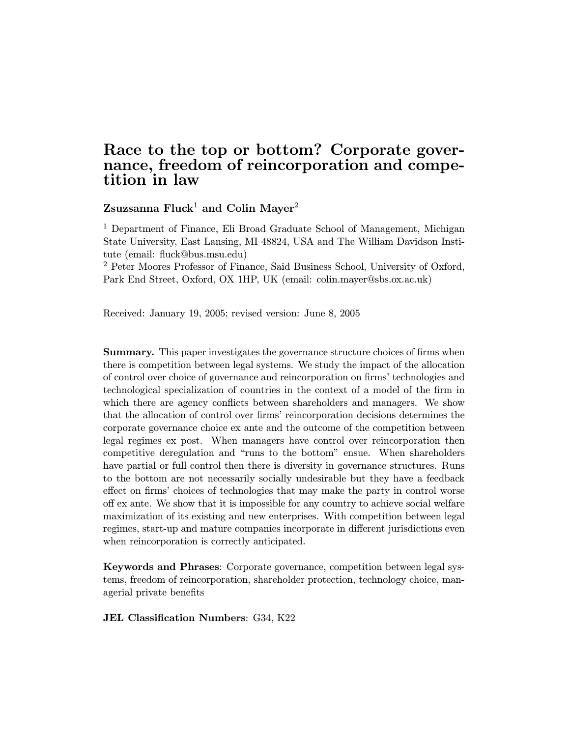## Race to the top or bottom? Corporate governance, freedom of reincorporation and competition in law

Zsuzsanna Fluck<sup>1</sup> and Colin Mayer<sup>2</sup>

<sup>1</sup> Department of Finance, Eli Broad Graduate School of Management, Michigan State University, East Lansing, MI 48824, USA and The William Davidson Institute (email: fluck@bus.msu.edu)

<sup>2</sup> Peter Moores Professor of Finance, Said Business School, University of Oxford, Park End Street, Oxford, OX 1HP, UK (email: colin.mayer@sbs.ox.ac.uk)

Received: January 19, 2005; revised version: June 8, 2005

Summary. This paper investigates the governance structure choices of firms when there is competition between legal systems. We study the impact of the allocation of control over choice of governance and reincorporation on firms' technologies and technological specialization of countries in the context of a model of the firm in which there are agency conflicts between shareholders and managers. We show that the allocation of control over firms' reincorporation decisions determines the corporate governance choice ex ante and the outcome of the competition between legal regimes ex post. When managers have control over reincorporation then competitive deregulation and "runs to the bottom" ensue. When shareholders have partial or full control then there is diversity in governance structures. Runs to the bottom are not necessarily socially undesirable but they have a feedback effect on firms' choices of technologies that may make the party in control worse off ex ante. We show that it is impossible for any country to achieve social welfare maximization of its existing and new enterprises. With competition between legal regimes, start-up and mature companies incorporate in different jurisdictions even when reincorporation is correctly anticipated.

Keywords and Phrases: Corporate governance, competition between legal systems, freedom of reincorporation, shareholder protection, technology choice, managerial private benefits

JEL Classification Numbers: G34, K22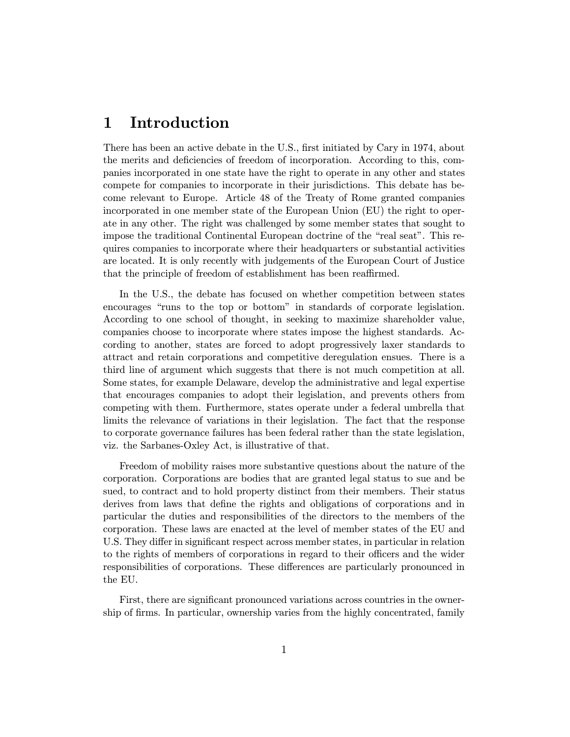## 1 Introduction

There has been an active debate in the U.S., first initiated by Cary in 1974, about the merits and deficiencies of freedom of incorporation. According to this, companies incorporated in one state have the right to operate in any other and states compete for companies to incorporate in their jurisdictions. This debate has become relevant to Europe. Article 48 of the Treaty of Rome granted companies incorporated in one member state of the European Union (EU) the right to operate in any other. The right was challenged by some member states that sought to impose the traditional Continental European doctrine of the "real seat". This requires companies to incorporate where their headquarters or substantial activities are located. It is only recently with judgements of the European Court of Justice that the principle of freedom of establishment has been reaffirmed.

In the U.S., the debate has focused on whether competition between states encourages "runs to the top or bottom" in standards of corporate legislation. According to one school of thought, in seeking to maximize shareholder value, companies choose to incorporate where states impose the highest standards. According to another, states are forced to adopt progressively laxer standards to attract and retain corporations and competitive deregulation ensues. There is a third line of argument which suggests that there is not much competition at all. Some states, for example Delaware, develop the administrative and legal expertise that encourages companies to adopt their legislation, and prevents others from competing with them. Furthermore, states operate under a federal umbrella that limits the relevance of variations in their legislation. The fact that the response to corporate governance failures has been federal rather than the state legislation, viz. the Sarbanes-Oxley Act, is illustrative of that.

Freedom of mobility raises more substantive questions about the nature of the corporation. Corporations are bodies that are granted legal status to sue and be sued, to contract and to hold property distinct from their members. Their status derives from laws that define the rights and obligations of corporations and in particular the duties and responsibilities of the directors to the members of the corporation. These laws are enacted at the level of member states of the EU and U.S. They differ in significant respect across member states, in particular in relation to the rights of members of corporations in regard to their officers and the wider responsibilities of corporations. These differences are particularly pronounced in the EU.

First, there are significant pronounced variations across countries in the ownership of firms. In particular, ownership varies from the highly concentrated, family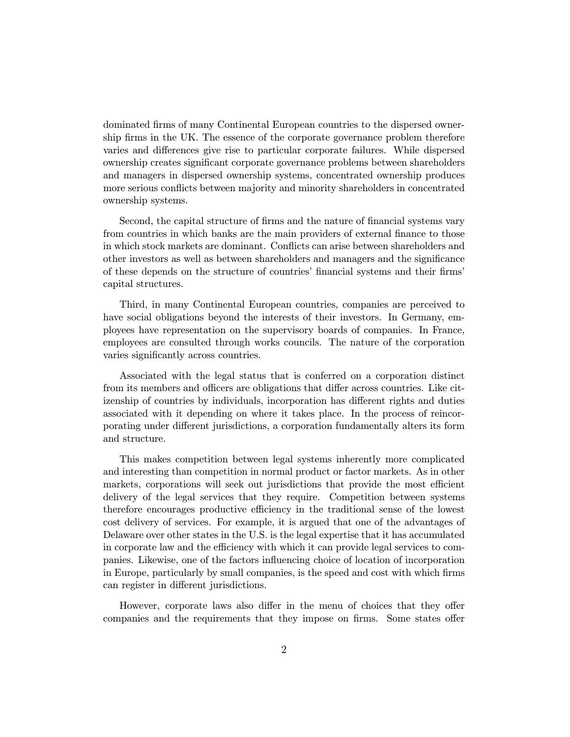dominated firms of many Continental European countries to the dispersed ownership firms in the UK. The essence of the corporate governance problem therefore varies and differences give rise to particular corporate failures. While dispersed ownership creates significant corporate governance problems between shareholders and managers in dispersed ownership systems, concentrated ownership produces more serious conflicts between majority and minority shareholders in concentrated ownership systems.

Second, the capital structure of firms and the nature of financial systems vary from countries in which banks are the main providers of external finance to those in which stock markets are dominant. Conflicts can arise between shareholders and other investors as well as between shareholders and managers and the significance of these depends on the structure of countries' financial systems and their firms' capital structures.

Third, in many Continental European countries, companies are perceived to have social obligations beyond the interests of their investors. In Germany, employees have representation on the supervisory boards of companies. In France, employees are consulted through works councils. The nature of the corporation varies significantly across countries.

Associated with the legal status that is conferred on a corporation distinct from its members and officers are obligations that differ across countries. Like citizenship of countries by individuals, incorporation has different rights and duties associated with it depending on where it takes place. In the process of reincorporating under different jurisdictions, a corporation fundamentally alters its form and structure.

This makes competition between legal systems inherently more complicated and interesting than competition in normal product or factor markets. As in other markets, corporations will seek out jurisdictions that provide the most efficient delivery of the legal services that they require. Competition between systems therefore encourages productive efficiency in the traditional sense of the lowest cost delivery of services. For example, it is argued that one of the advantages of Delaware over other states in the U.S. is the legal expertise that it has accumulated in corporate law and the efficiency with which it can provide legal services to companies. Likewise, one of the factors influencing choice of location of incorporation in Europe, particularly by small companies, is the speed and cost with which firms can register in different jurisdictions.

However, corporate laws also differ in the menu of choices that they offer companies and the requirements that they impose on firms. Some states offer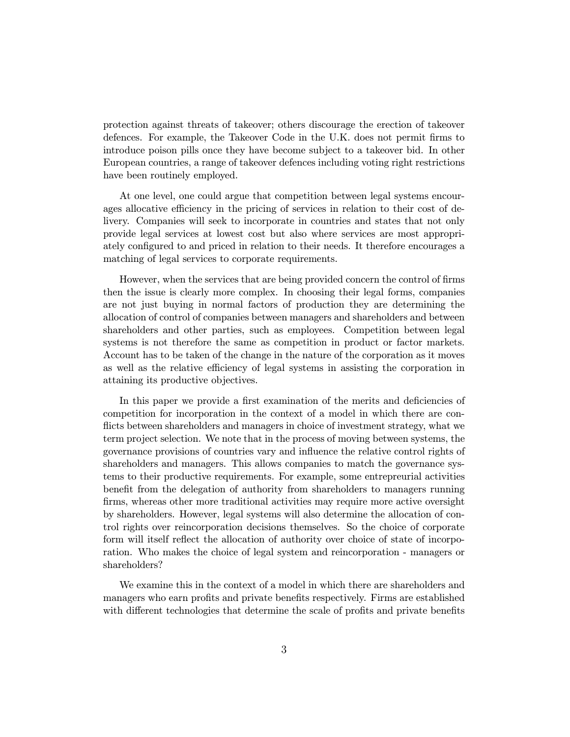protection against threats of takeover; others discourage the erection of takeover defences. For example, the Takeover Code in the U.K. does not permit firms to introduce poison pills once they have become subject to a takeover bid. In other European countries, a range of takeover defences including voting right restrictions have been routinely employed.

At one level, one could argue that competition between legal systems encourages allocative efficiency in the pricing of services in relation to their cost of delivery. Companies will seek to incorporate in countries and states that not only provide legal services at lowest cost but also where services are most appropriately configured to and priced in relation to their needs. It therefore encourages a matching of legal services to corporate requirements.

However, when the services that are being provided concern the control of firms then the issue is clearly more complex. In choosing their legal forms, companies are not just buying in normal factors of production they are determining the allocation of control of companies between managers and shareholders and between shareholders and other parties, such as employees. Competition between legal systems is not therefore the same as competition in product or factor markets. Account has to be taken of the change in the nature of the corporation as it moves as well as the relative efficiency of legal systems in assisting the corporation in attaining its productive objectives.

In this paper we provide a first examination of the merits and deficiencies of competition for incorporation in the context of a model in which there are conflicts between shareholders and managers in choice of investment strategy, what we term project selection. We note that in the process of moving between systems, the governance provisions of countries vary and influence the relative control rights of shareholders and managers. This allows companies to match the governance systems to their productive requirements. For example, some entrepreurial activities benefit from the delegation of authority from shareholders to managers running firms, whereas other more traditional activities may require more active oversight by shareholders. However, legal systems will also determine the allocation of control rights over reincorporation decisions themselves. So the choice of corporate form will itself reflect the allocation of authority over choice of state of incorporation. Who makes the choice of legal system and reincorporation - managers or shareholders?

We examine this in the context of a model in which there are shareholders and managers who earn profits and private benefits respectively. Firms are established with different technologies that determine the scale of profits and private benefits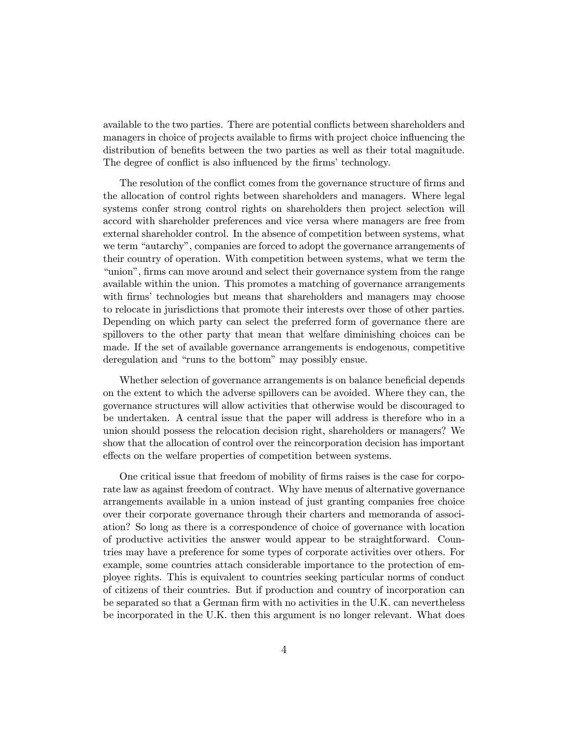available to the two parties. There are potential conflicts between shareholders and managers in choice of projects available to firms with project choice influencing the distribution of benefits between the two parties as well as their total magnitude. The degree of conflict is also influenced by the firms' technology.

The resolution of the conflict comes from the governance structure of firms and the allocation of control rights between shareholders and managers. Where legal systems confer strong control rights on shareholders then project selection will accord with shareholder preferences and vice versa where managers are free from external shareholder control. In the absence of competition between systems, what we term "autarchy", companies are forced to adopt the governance arrangements of their country of operation. With competition between systems, what we term the "union", firms can move around and select their governance system from the range available within the union. This promotes a matching of governance arrangements with firms' technologies but means that shareholders and managers may choose to relocate in jurisdictions that promote their interests over those of other parties. Depending on which party can select the preferred form of governance there are spillovers to the other party that mean that welfare diminishing choices can be made. If the set of available governance arrangements is endogenous, competitive deregulation and "runs to the bottom" may possibly ensue.

Whether selection of governance arrangements is on balance beneficial depends on the extent to which the adverse spillovers can be avoided. Where they can, the governance structures will allow activities that otherwise would be discouraged to be undertaken. A central issue that the paper will address is therefore who in a union should possess the relocation decision right, shareholders or managers? We show that the allocation of control over the reincorporation decision has important effects on the welfare properties of competition between systems.

One critical issue that freedom of mobility of firms raises is the case for corporate law as against freedom of contract. Why have menus of alternative governance arrangements available in a union instead of just granting companies free choice over their corporate governance through their charters and memoranda of association? So long as there is a correspondence of choice of governance with location of productive activities the answer would appear to be straightforward. Countries may have a preference for some types of corporate activities over others. For example, some countries attach considerable importance to the protection of employee rights. This is equivalent to countries seeking particular norms of conduct of citizens of their countries. But if production and country of incorporation can be separated so that a German firm with no activities in the U.K. can nevertheless be incorporated in the U.K. then this argument is no longer relevant. What does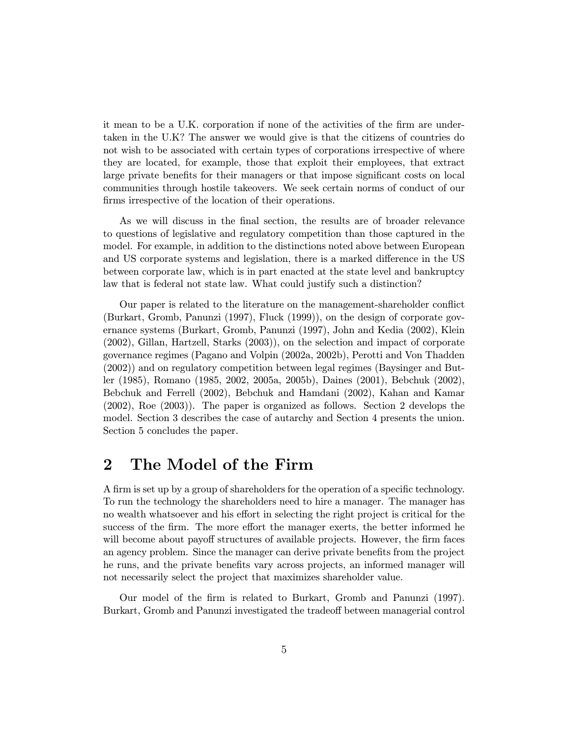it mean to be a U.K. corporation if none of the activities of the firm are undertaken in the U.K? The answer we would give is that the citizens of countries do not wish to be associated with certain types of corporations irrespective of where they are located, for example, those that exploit their employees, that extract large private benefits for their managers or that impose significant costs on local communities through hostile takeovers. We seek certain norms of conduct of our firms irrespective of the location of their operations.

As we will discuss in the final section, the results are of broader relevance to questions of legislative and regulatory competition than those captured in the model. For example, in addition to the distinctions noted above between European and US corporate systems and legislation, there is a marked difference in the US between corporate law, which is in part enacted at the state level and bankruptcy law that is federal not state law. What could justify such a distinction?

Our paper is related to the literature on the management-shareholder conflict (Burkart, Gromb, Panunzi (1997), Fluck (1999)), on the design of corporate governance systems (Burkart, Gromb, Panunzi (1997), John and Kedia (2002), Klein (2002), Gillan, Hartzell, Starks (2003)), on the selection and impact of corporate governance regimes (Pagano and Volpin (2002a, 2002b), Perotti and Von Thadden (2002)) and on regulatory competition between legal regimes (Baysinger and Butler (1985), Romano (1985, 2002, 2005a, 2005b), Daines (2001), Bebchuk (2002), Bebchuk and Ferrell (2002), Bebchuk and Hamdani (2002), Kahan and Kamar (2002), Roe (2003)). The paper is organized as follows. Section 2 develops the model. Section 3 describes the case of autarchy and Section 4 presents the union. Section 5 concludes the paper.

## 2 The Model of the Firm

A firm is set up by a group of shareholders for the operation of a specific technology. To run the technology the shareholders need to hire a manager. The manager has no wealth whatsoever and his effort in selecting the right project is critical for the success of the firm. The more effort the manager exerts, the better informed he will become about payoff structures of available projects. However, the firm faces an agency problem. Since the manager can derive private benefits from the project he runs, and the private benefits vary across projects, an informed manager will not necessarily select the project that maximizes shareholder value.

Our model of the firm is related to Burkart, Gromb and Panunzi (1997). Burkart, Gromb and Panunzi investigated the tradeoff between managerial control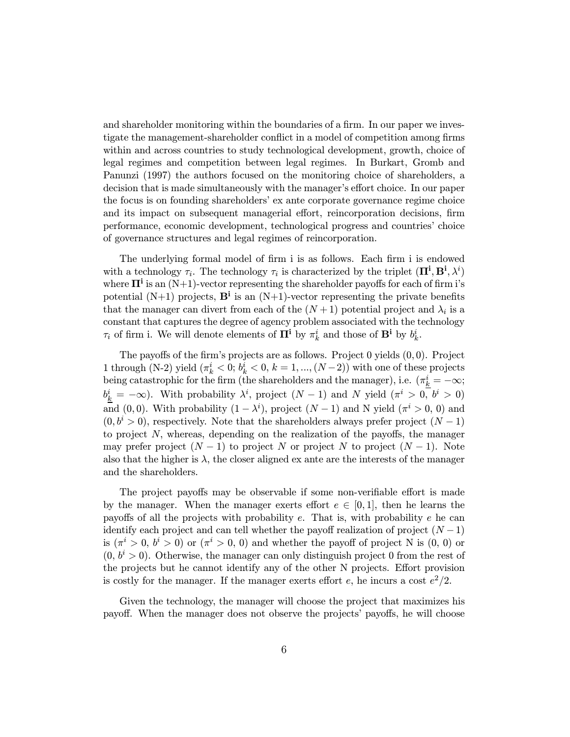and shareholder monitoring within the boundaries of a firm. In our paper we investigate the management-shareholder conflict in a model of competition among firms within and across countries to study technological development, growth, choice of legal regimes and competition between legal regimes. In Burkart, Gromb and Panunzi (1997) the authors focused on the monitoring choice of shareholders, a decision that is made simultaneously with the manager's effort choice. In our paper the focus is on founding shareholders' ex ante corporate governance regime choice and its impact on subsequent managerial effort, reincorporation decisions, firm performance, economic development, technological progress and countries' choice of governance structures and legal regimes of reincorporation.

The underlying formal model of firm i is as follows. Each firm i is endowed with a technology  $\tau_i$ . The technology  $\tau_i$  is characterized by the triplet  $(\Pi^i, B^i, \lambda^i)$ where  $\Pi^i$  is an  $(N+1)$ -vector representing the shareholder payoffs for each of firm i's potential  $(N+1)$  projects,  $B^i$  is an  $(N+1)$ -vector representing the private benefits that the manager can divert from each of the  $(N+1)$  potential project and  $\lambda_i$  is a constant that captures the degree of agency problem associated with the technology  $\tau_i$  of firm i. We will denote elements of  $\mathbf{\Pi}^i$  by  $\pi_k^i$  and those of  $\mathbf{B}^i$  by  $b_k^i$ .

The payoffs of the firm's projects are as follows. Project 0 yields (0, 0). Project 1 through (N-2) yield  $(\pi_k^i < 0; b_k^i < 0, k = 1, ..., (N-2))$  with one of these projects being catastrophic for the firm (the shareholders and the manager), i.e.  $(\pi_{\underline{k}}^i = -\infty;$  $b_k^i = -\infty$ ). With probability  $\lambda^i$ , project  $(N-1)$  and N yield  $(\pi^i > 0, b^i > 0)$ and (0,0). With probability  $(1 - \lambda^i)$ , project  $(N - 1)$  and N yield  $(\pi^i > 0, 0)$  and  $(0, b<sup>i</sup> > 0)$ , respectively. Note that the shareholders always prefer project  $(N - 1)$ to project  $N$ , whereas, depending on the realization of the payoffs, the manager may prefer project  $(N-1)$  to project N or project N to project  $(N-1)$ . Note also that the higher is  $\lambda$ , the closer aligned ex ante are the interests of the manager and the shareholders.

The project payoffs may be observable if some non-verifiable effort is made by the manager. When the manager exerts effort  $e \in [0,1]$ , then he learns the payoffs of all the projects with probability e. That is, with probability e he can identify each project and can tell whether the payoff realization of project  $(N-1)$ is  $(\pi^i > 0, b^i > 0)$  or  $(\pi^i > 0, 0)$  and whether the payoff of project N is  $(0, 0)$  or  $(0, b<sup>i</sup> > 0)$ . Otherwise, the manager can only distinguish project 0 from the rest of the projects but he cannot identify any of the other N projects. Effort provision is costly for the manager. If the manager exerts effort e, he incurs a cost  $e^2/2$ .

Given the technology, the manager will choose the project that maximizes his payoff. When the manager does not observe the projects' payoffs, he will choose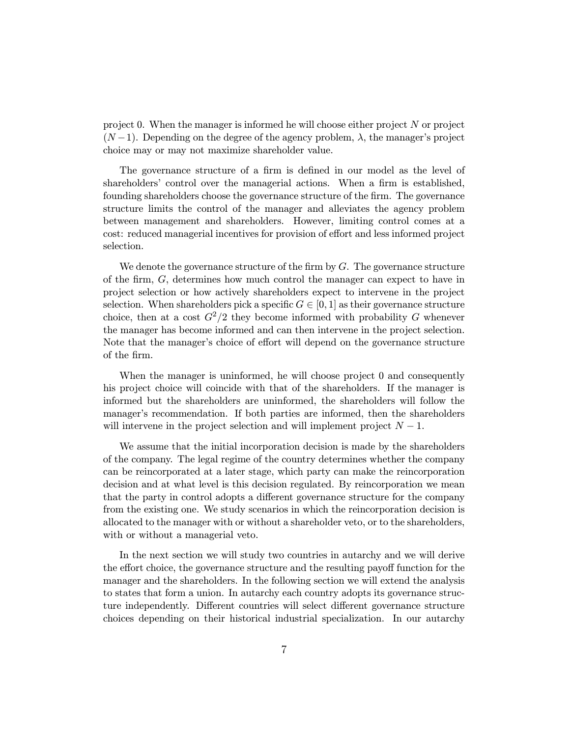project 0. When the manager is informed he will choose either project  $N$  or project  $(N-1)$ . Depending on the degree of the agency problem,  $\lambda$ , the manager's project choice may or may not maximize shareholder value.

The governance structure of a firm is defined in our model as the level of shareholders' control over the managerial actions. When a firm is established, founding shareholders choose the governance structure of the firm. The governance structure limits the control of the manager and alleviates the agency problem between management and shareholders. However, limiting control comes at a cost: reduced managerial incentives for provision of effort and less informed project selection.

We denote the governance structure of the firm by  $G$ . The governance structure of the firm, G, determines how much control the manager can expect to have in project selection or how actively shareholders expect to intervene in the project selection. When shareholders pick a specific  $G \in [0, 1]$  as their governance structure choice, then at a cost  $G^2/2$  they become informed with probability G whenever the manager has become informed and can then intervene in the project selection. Note that the manager's choice of effort will depend on the governance structure of the firm.

When the manager is uninformed, he will choose project 0 and consequently his project choice will coincide with that of the shareholders. If the manager is informed but the shareholders are uninformed, the shareholders will follow the manager's recommendation. If both parties are informed, then the shareholders will intervene in the project selection and will implement project  $N-1$ .

We assume that the initial incorporation decision is made by the shareholders of the company. The legal regime of the country determines whether the company can be reincorporated at a later stage, which party can make the reincorporation decision and at what level is this decision regulated. By reincorporation we mean that the party in control adopts a different governance structure for the company from the existing one. We study scenarios in which the reincorporation decision is allocated to the manager with or without a shareholder veto, or to the shareholders, with or without a managerial veto.

In the next section we will study two countries in autarchy and we will derive the effort choice, the governance structure and the resulting payoff function for the manager and the shareholders. In the following section we will extend the analysis to states that form a union. In autarchy each country adopts its governance structure independently. Different countries will select different governance structure choices depending on their historical industrial specialization. In our autarchy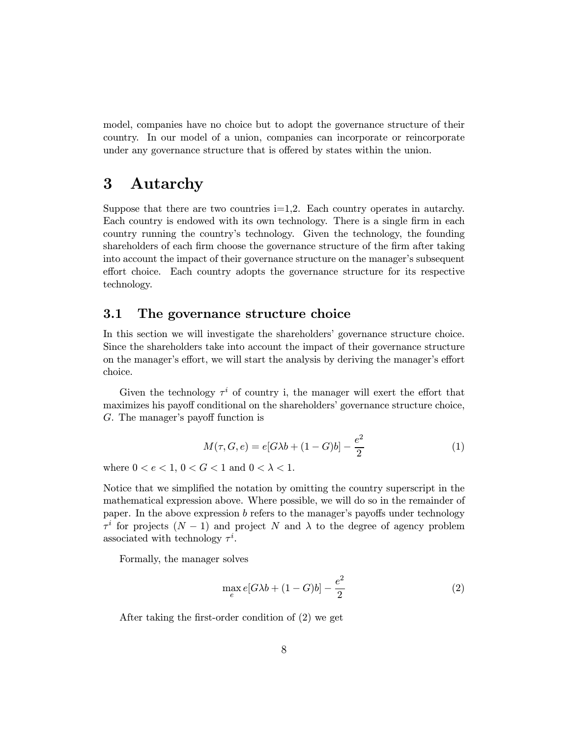model, companies have no choice but to adopt the governance structure of their country. In our model of a union, companies can incorporate or reincorporate under any governance structure that is offered by states within the union.

## 3 Autarchy

Suppose that there are two countries  $i=1,2$ . Each country operates in autarchy. Each country is endowed with its own technology. There is a single firm in each country running the country's technology. Given the technology, the founding shareholders of each firm choose the governance structure of the firm after taking into account the impact of their governance structure on the manager's subsequent effort choice. Each country adopts the governance structure for its respective technology.

### 3.1 The governance structure choice

In this section we will investigate the shareholders' governance structure choice. Since the shareholders take into account the impact of their governance structure on the manager's effort, we will start the analysis by deriving the manager's effort choice.

Given the technology  $\tau^i$  of country i, the manager will exert the effort that maximizes his payoff conditional on the shareholders' governance structure choice, G. The manager's payoff function is

$$
M(\tau, G, e) = e[G\lambda b + (1 - G)b] - \frac{e^2}{2}
$$
 (1)

where  $0 < e < 1, 0 < G < 1$  and  $0 < \lambda < 1$ .

Notice that we simplified the notation by omitting the country superscript in the mathematical expression above. Where possible, we will do so in the remainder of paper. In the above expression b refers to the manager's payoffs under technology  $\tau^i$  for projects  $(N - 1)$  and project N and  $\lambda$  to the degree of agency problem associated with technology  $\tau^i$ .

Formally, the manager solves

$$
\max_{e} e[G\lambda b + (1 - G)b] - \frac{e^2}{2}
$$
 (2)

After taking the first-order condition of (2) we get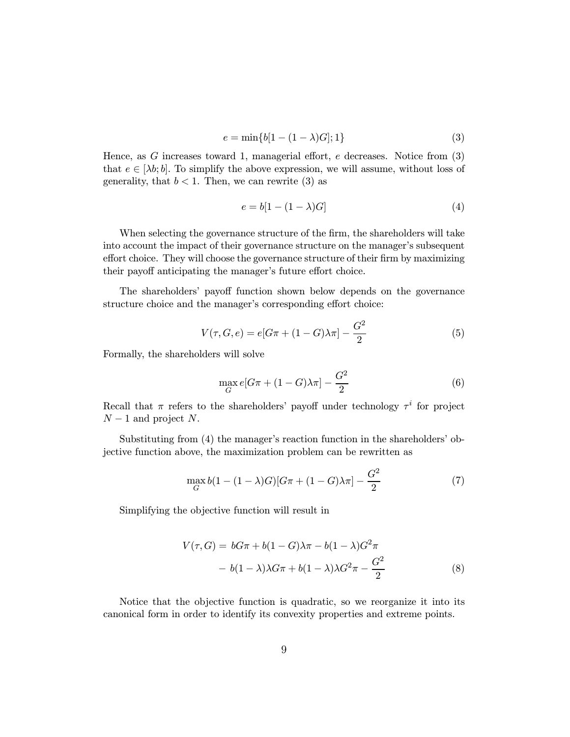$$
e = \min\{b[1 - (1 - \lambda)G]; 1\}
$$
\n(3)

Hence, as  $G$  increases toward 1, managerial effort,  $e$  decreases. Notice from  $(3)$ that  $e \in [\lambda b; b]$ . To simplify the above expression, we will assume, without loss of generality, that  $b < 1$ . Then, we can rewrite (3) as

$$
e = b[1 - (1 - \lambda)G] \tag{4}
$$

When selecting the governance structure of the firm, the shareholders will take into account the impact of their governance structure on the manager's subsequent effort choice. They will choose the governance structure of their firm by maximizing their payoff anticipating the manager's future effort choice.

The shareholders' payoff function shown below depends on the governance structure choice and the manager's corresponding effort choice:

$$
V(\tau, G, e) = e[G\pi + (1 - G)\lambda \pi] - \frac{G^2}{2}
$$
\n(5)

Formally, the shareholders will solve

$$
\max_{G} e[G\pi + (1 - G)\lambda \pi] - \frac{G^2}{2} \tag{6}
$$

Recall that  $\pi$  refers to the shareholders' payoff under technology  $\tau^i$  for project  $N-1$  and project N.

Substituting from (4) the manager's reaction function in the shareholders' objective function above, the maximization problem can be rewritten as

$$
\max_{G} b(1 - (1 - \lambda)G)[G\pi + (1 - G)\lambda\pi] - \frac{G^2}{2}
$$
\n(7)

Simplifying the objective function will result in

$$
V(\tau, G) = bG\pi + b(1 - G)\lambda\pi - b(1 - \lambda)G^2\pi
$$

$$
- b(1 - \lambda)\lambda G\pi + b(1 - \lambda)\lambda G^2\pi - \frac{G^2}{2}
$$
(8)

Notice that the objective function is quadratic, so we reorganize it into its canonical form in order to identify its convexity properties and extreme points.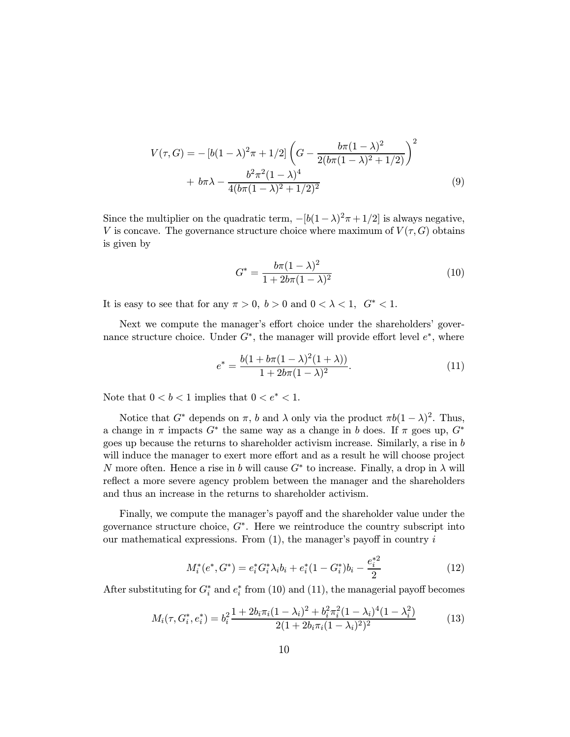$$
V(\tau, G) = -[b(1 - \lambda)^2 \pi + 1/2] \left( G - \frac{b\pi (1 - \lambda)^2}{2(b\pi (1 - \lambda)^2 + 1/2)} \right)^2
$$
  
+  $b\pi \lambda - \frac{b^2 \pi^2 (1 - \lambda)^4}{4(b\pi (1 - \lambda)^2 + 1/2)^2}$  (9)

Since the multiplier on the quadratic term,  $-[b(1 - \lambda)^2 \pi + 1/2]$  is always negative, V is concave. The governance structure choice where maximum of  $V(\tau, G)$  obtains is given by

$$
G^* = \frac{b\pi (1 - \lambda)^2}{1 + 2b\pi (1 - \lambda)^2}
$$
 (10)

It is easy to see that for any  $\pi > 0$ ,  $b > 0$  and  $0 < \lambda < 1$ ,  $G^* < 1$ .

Next we compute the manager's effort choice under the shareholders' governance structure choice. Under  $G^*$ , the manager will provide effort level  $e^*$ , where

$$
e^* = \frac{b(1 + b\pi(1 - \lambda)^2(1 + \lambda))}{1 + 2b\pi(1 - \lambda)^2}.
$$
 (11)

Note that  $0 < b < 1$  implies that  $0 < e^* < 1$ .

Notice that  $G^*$  depends on  $\pi$ , b and  $\lambda$  only via the product  $\pi b(1 - \lambda)^2$ . Thus, a change in  $\pi$  impacts  $G^*$  the same way as a change in b does. If  $\pi$  goes up,  $G^*$ goes up because the returns to shareholder activism increase. Similarly, a rise in b will induce the manager to exert more effort and as a result he will choose project N more often. Hence a rise in b will cause  $G^*$  to increase. Finally, a drop in  $\lambda$  will reflect a more severe agency problem between the manager and the shareholders and thus an increase in the returns to shareholder activism.

Finally, we compute the manager's payoff and the shareholder value under the governance structure choice,  $G^*$ . Here we reintroduce the country subscript into our mathematical expressions. From  $(1)$ , the manager's payoff in country i

$$
M_i^*(e^*, G^*) = e_i^* G_i^* \lambda_i b_i + e_i^* (1 - G_i^*) b_i - \frac{e_i^*^2}{2}
$$
\n
$$
(12)
$$

After substituting for  $G_i^*$  and  $e_i^*$  from (10) and (11), the managerial payoff becomes

$$
M_i(\tau, G_i^*, e_i^*) = b_i^2 \frac{1 + 2b_i \pi_i (1 - \lambda_i)^2 + b_i^2 \pi_i^2 (1 - \lambda_i)^4 (1 - \lambda_i^2)}{2(1 + 2b_i \pi_i (1 - \lambda_i)^2)^2}
$$
(13)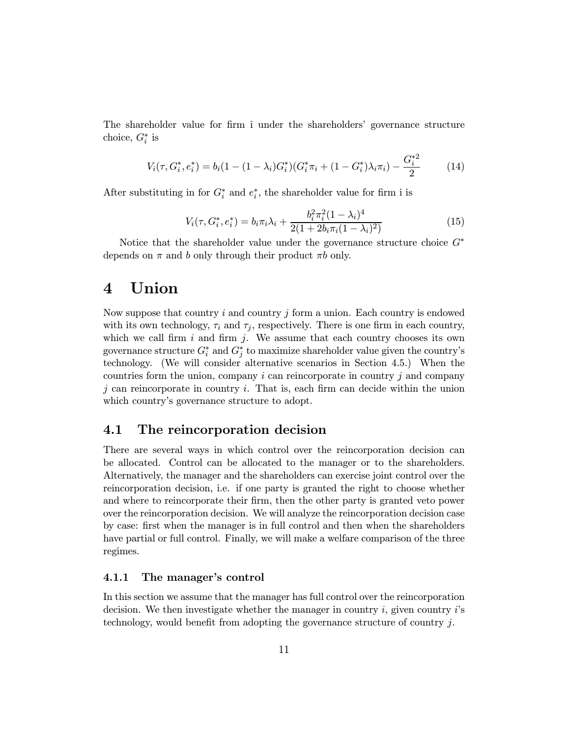The shareholder value for firm i under the shareholders' governance structure choice,  $G_i^*$  is

$$
V_i(\tau, G_i^*, e_i^*) = b_i(1 - (1 - \lambda_i)G_i^*)(G_i^*\pi_i + (1 - G_i^*)\lambda_i\pi_i) - \frac{G_i^{*2}}{2}
$$
 (14)

After substituting in for  $G_i^*$  and  $e_i^*$ , the shareholder value for firm i is

$$
V_i(\tau, G_i^*, e_i^*) = b_i \pi_i \lambda_i + \frac{b_i^2 \pi_i^2 (1 - \lambda_i)^4}{2(1 + 2b_i \pi_i (1 - \lambda_i)^2)}
$$
(15)

Notice that the shareholder value under the governance structure choice  $G^*$ depends on  $\pi$  and b only through their product  $\pi b$  only.

## 4 Union

Now suppose that country  $i$  and country  $j$  form a union. Each country is endowed with its own technology,  $\tau_i$  and  $\tau_j$ , respectively. There is one firm in each country, which we call firm  $i$  and firm  $j$ . We assume that each country chooses its own governance structure  $G_i^*$  and  $G_j^*$  to maximize shareholder value given the country's technology. (We will consider alternative scenarios in Section 4.5.) When the countries form the union, company  $i$  can reincorporate in country  $j$  and company  $j$  can reincorporate in country i. That is, each firm can decide within the union which country's governance structure to adopt.

### 4.1 The reincorporation decision

There are several ways in which control over the reincorporation decision can be allocated. Control can be allocated to the manager or to the shareholders. Alternatively, the manager and the shareholders can exercise joint control over the reincorporation decision, i.e. if one party is granted the right to choose whether and where to reincorporate their firm, then the other party is granted veto power over the reincorporation decision. We will analyze the reincorporation decision case by case: first when the manager is in full control and then when the shareholders have partial or full control. Finally, we will make a welfare comparison of the three regimes.

#### 4.1.1 The manager's control

In this section we assume that the manager has full control over the reincorporation decision. We then investigate whether the manager in country  $i$ , given country  $i$ 's technology, would benefit from adopting the governance structure of country j.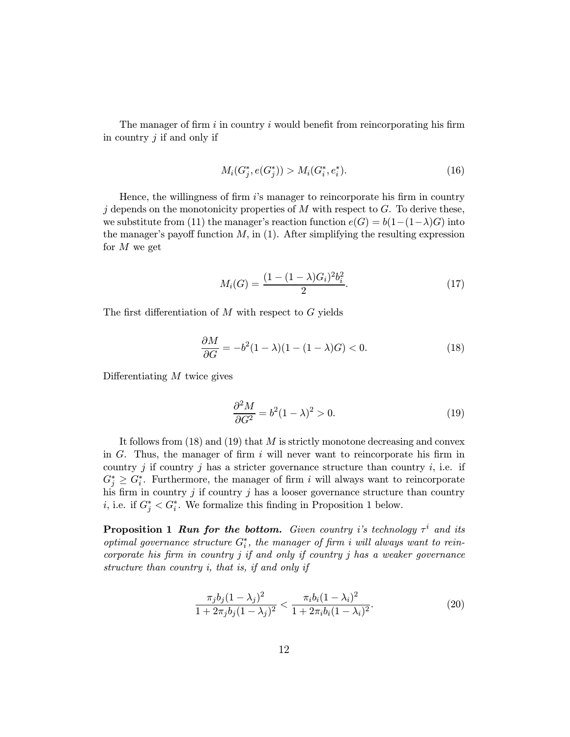The manager of firm i in country i would benefit from reincorporating his firm in country  $j$  if and only if

$$
M_i(G_j^*, e(G_j^*)) > M_i(G_i^*, e_i^*). \tag{16}
$$

Hence, the willingness of firm is manager to reincorporate his firm in country j depends on the monotonicity properties of  $M$  with respect to  $G$ . To derive these, we substitute from (11) the manager's reaction function  $e(G) = b(1-(1-\lambda)G)$  into the manager's payoff function  $M$ , in (1). After simplifying the resulting expression for M we get

$$
M_i(G) = \frac{(1 - (1 - \lambda)G_i)^2 b_i^2}{2}.
$$
\n(17)

The first differentiation of  $M$  with respect to  $G$  yields

$$
\frac{\partial M}{\partial G} = -b^2 (1 - \lambda)(1 - (1 - \lambda)G) < 0. \tag{18}
$$

Differentiating M twice gives

$$
\frac{\partial^2 M}{\partial G^2} = b^2 (1 - \lambda)^2 > 0.
$$
 (19)

It follows from  $(18)$  and  $(19)$  that M is strictly monotone decreasing and convex in  $G$ . Thus, the manager of firm  $i$  will never want to reincorporate his firm in country j if country j has a stricter governance structure than country  $i$ , i.e. if  $G_j^* \geq G_i^*$ . Furthermore, the manager of firm i will always want to reincorporate his firm in country  $j$  if country  $j$  has a looser governance structure than country *i*, i.e. if  $G_j^* < G_i^*$ . We formalize this finding in Proposition 1 below.

**Proposition 1 Run for the bottom.** Given country i's technology  $\tau^i$  and its optimal governance structure  $G_i^*$ , the manager of firm i will always want to reincorporate his firm in country  $j$  if and only if country  $j$  has a weaker governance structure than country i, that is, if and only if

$$
\frac{\pi_j b_j (1 - \lambda_j)^2}{1 + 2\pi_j b_j (1 - \lambda_j)^2} < \frac{\pi_i b_i (1 - \lambda_i)^2}{1 + 2\pi_i b_i (1 - \lambda_i)^2}.\tag{20}
$$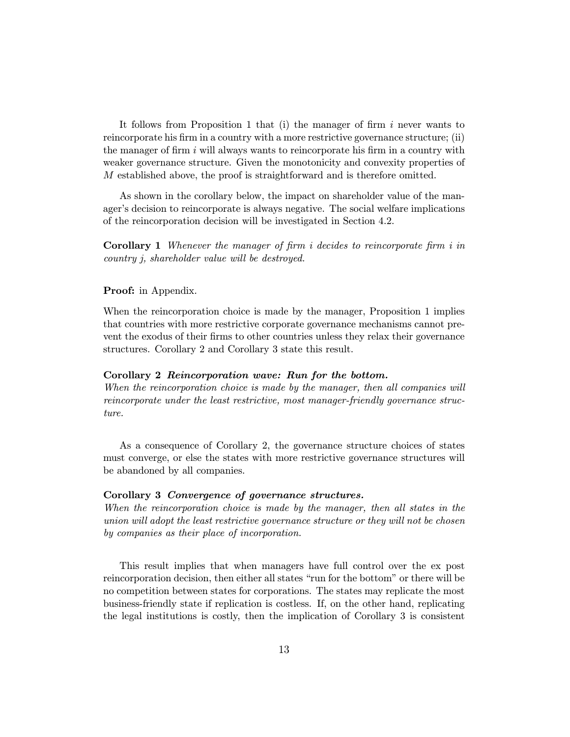It follows from Proposition 1 that (i) the manager of firm  $i$  never wants to reincorporate his firm in a country with a more restrictive governance structure; (ii) the manager of firm  $i$  will always wants to reincorporate his firm in a country with weaker governance structure. Given the monotonicity and convexity properties of M established above, the proof is straightforward and is therefore omitted.

As shown in the corollary below, the impact on shareholder value of the manager's decision to reincorporate is always negative. The social welfare implications of the reincorporation decision will be investigated in Section 4.2.

Corollary 1 Whenever the manager of firm i decides to reincorporate firm i in country j, shareholder value will be destroyed.

#### Proof: in Appendix.

When the reincorporation choice is made by the manager, Proposition 1 implies that countries with more restrictive corporate governance mechanisms cannot prevent the exodus of their firms to other countries unless they relax their governance structures. Corollary 2 and Corollary 3 state this result.

#### Corollary 2 Reincorporation wave: Run for the bottom.

When the reincorporation choice is made by the manager, then all companies will reincorporate under the least restrictive, most manager-friendly governance structure.

As a consequence of Corollary 2, the governance structure choices of states must converge, or else the states with more restrictive governance structures will be abandoned by all companies.

#### Corollary 3 Convergence of governance structures.

When the reincorporation choice is made by the manager, then all states in the union will adopt the least restrictive governance structure or they will not be chosen by companies as their place of incorporation.

This result implies that when managers have full control over the ex post reincorporation decision, then either all states "run for the bottom" or there will be no competition between states for corporations. The states may replicate the most business-friendly state if replication is costless. If, on the other hand, replicating the legal institutions is costly, then the implication of Corollary 3 is consistent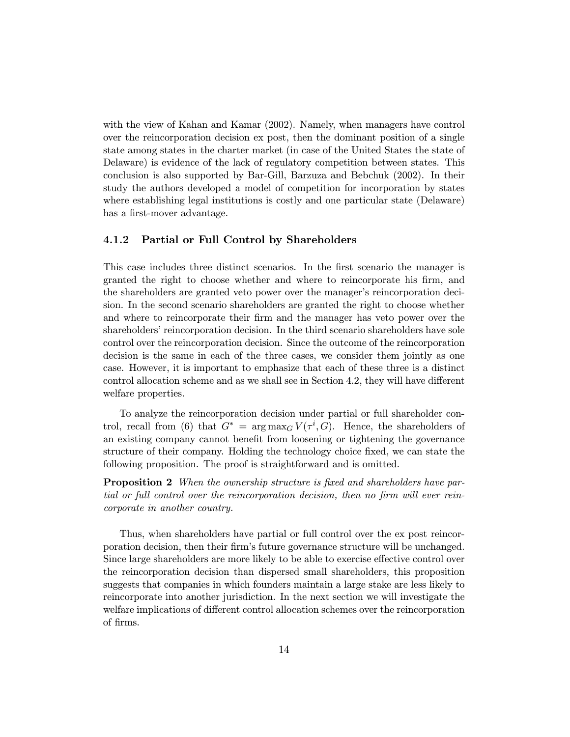with the view of Kahan and Kamar (2002). Namely, when managers have control over the reincorporation decision ex post, then the dominant position of a single state among states in the charter market (in case of the United States the state of Delaware) is evidence of the lack of regulatory competition between states. This conclusion is also supported by Bar-Gill, Barzuza and Bebchuk (2002). In their study the authors developed a model of competition for incorporation by states where establishing legal institutions is costly and one particular state (Delaware) has a first-mover advantage.

#### 4.1.2 Partial or Full Control by Shareholders

This case includes three distinct scenarios. In the first scenario the manager is granted the right to choose whether and where to reincorporate his firm, and the shareholders are granted veto power over the manager's reincorporation decision. In the second scenario shareholders are granted the right to choose whether and where to reincorporate their firm and the manager has veto power over the shareholders' reincorporation decision. In the third scenario shareholders have sole control over the reincorporation decision. Since the outcome of the reincorporation decision is the same in each of the three cases, we consider them jointly as one case. However, it is important to emphasize that each of these three is a distinct control allocation scheme and as we shall see in Section 4.2, they will have different welfare properties.

To analyze the reincorporation decision under partial or full shareholder control, recall from (6) that  $G^* = \arg \max_G V(\tau^i, G)$ . Hence, the shareholders of an existing company cannot benefit from loosening or tightening the governance structure of their company. Holding the technology choice fixed, we can state the following proposition. The proof is straightforward and is omitted.

Proposition 2 When the ownership structure is fixed and shareholders have partial or full control over the reincorporation decision, then no firm will ever reincorporate in another country.

Thus, when shareholders have partial or full control over the ex post reincorporation decision, then their firm's future governance structure will be unchanged. Since large shareholders are more likely to be able to exercise effective control over the reincorporation decision than dispersed small shareholders, this proposition suggests that companies in which founders maintain a large stake are less likely to reincorporate into another jurisdiction. In the next section we will investigate the welfare implications of different control allocation schemes over the reincorporation of firms.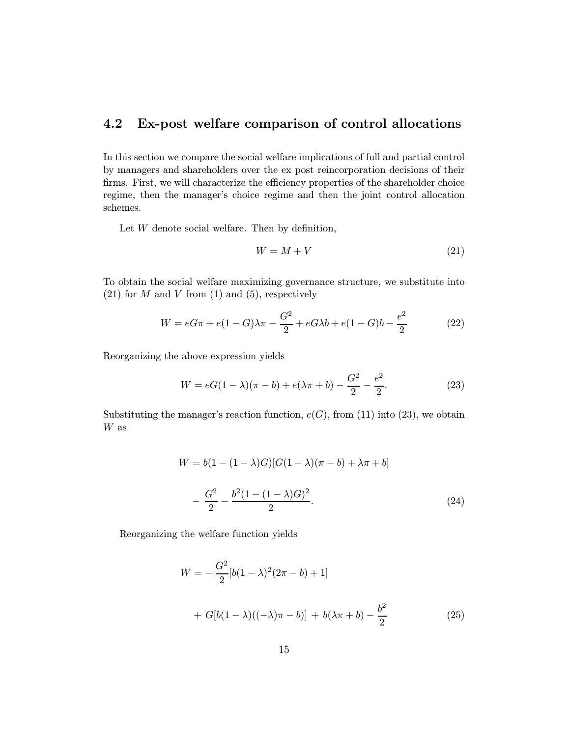### 4.2 Ex-post welfare comparison of control allocations

In this section we compare the social welfare implications of full and partial control by managers and shareholders over the ex post reincorporation decisions of their firms. First, we will characterize the efficiency properties of the shareholder choice regime, then the manager's choice regime and then the joint control allocation schemes.

Let  $W$  denote social welfare. Then by definition,

$$
W = M + V \tag{21}
$$

To obtain the social welfare maximizing governance structure, we substitute into  $(21)$  for M and V from  $(1)$  and  $(5)$ , respectively

$$
W = eG\pi + e(1 - G)\lambda\pi - \frac{G^2}{2} + eG\lambda b + e(1 - G)b - \frac{e^2}{2}
$$
 (22)

Reorganizing the above expression yields

$$
W = eG(1 - \lambda)(\pi - b) + e(\lambda \pi + b) - \frac{G^2}{2} - \frac{e^2}{2}.
$$
 (23)

Substituting the manager's reaction function,  $e(G)$ , from (11) into (23), we obtain W as

$$
W = b(1 - (1 - \lambda)G)[G(1 - \lambda)(\pi - b) + \lambda \pi + b]
$$

$$
- \frac{G^2}{2} - \frac{b^2(1 - (1 - \lambda)G)^2}{2}.
$$
(24)

Reorganizing the welfare function yields

$$
W = -\frac{G^2}{2}[b(1-\lambda)^2(2\pi - b) + 1]
$$
  
+  $G[b(1-\lambda)((-\lambda)\pi - b)] + b(\lambda\pi + b) - \frac{b^2}{2}$  (25)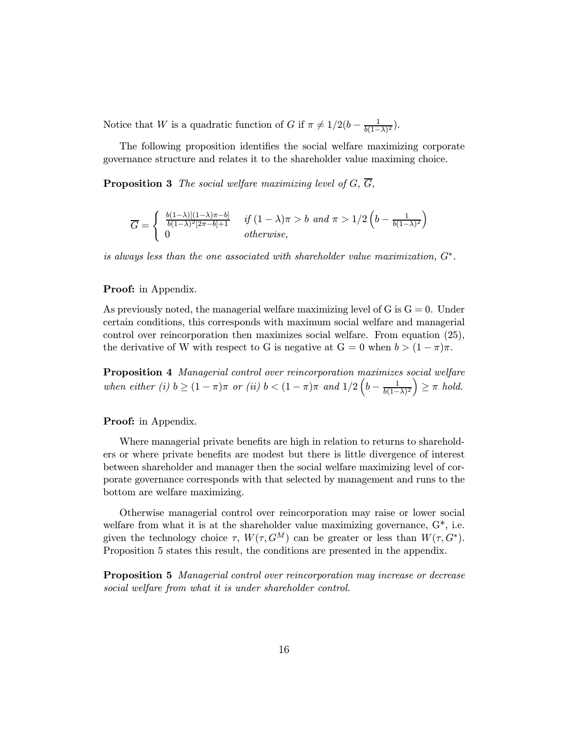Notice that W is a quadratic function of G if  $\pi \neq 1/2(b - \frac{1}{b(1-\lambda)^2})$ .

The following proposition identifies the social welfare maximizing corporate governance structure and relates it to the shareholder value maximing choice.

**Proposition 3** The social welfare maximizing level of  $G$ ,  $\overline{G}$ ,

$$
\overline{G} = \begin{cases} \frac{b(1-\lambda)[(1-\lambda)\pi - b]}{b(1-\lambda)^2[2\pi - b] + 1} & \text{if } (1-\lambda)\pi > b \text{ and } \pi > 1/2 \left( b - \frac{1}{b(1-\lambda)^2} \right) \\ 0 & \text{otherwise,} \end{cases}
$$

is always less than the one associated with shareholder value maximization,  $G^*$ .

#### Proof: in Appendix.

As previously noted, the managerial welfare maximizing level of G is  $G = 0$ . Under certain conditions, this corresponds with maximum social welfare and managerial control over reincorporation then maximizes social welfare. From equation (25), the derivative of W with respect to G is negative at  $G = 0$  when  $b > (1 - \pi)\pi$ .

Proposition 4 Managerial control over reincorporation maximizes social welfare when either (i)  $b \ge (1 - \pi)\pi$  or (ii)  $b < (1 - \pi)\pi$  and  $1/2\left(b - \frac{1}{b(1-\lambda)^2}\right)$  $\Big) \geq \pi \ hold.$ 

Proof: in Appendix.

Where managerial private benefits are high in relation to returns to shareholders or where private benefits are modest but there is little divergence of interest between shareholder and manager then the social welfare maximizing level of corporate governance corresponds with that selected by management and runs to the bottom are welfare maximizing.

Otherwise managerial control over reincorporation may raise or lower social welfare from what it is at the shareholder value maximizing governance,  $G^*$ , i.e. given the technology choice  $\tau$ ,  $W(\tau, G^M)$  can be greater or less than  $W(\tau, G^*)$ . Proposition 5 states this result, the conditions are presented in the appendix.

Proposition 5 Managerial control over reincorporation may increase or decrease social welfare from what it is under shareholder control.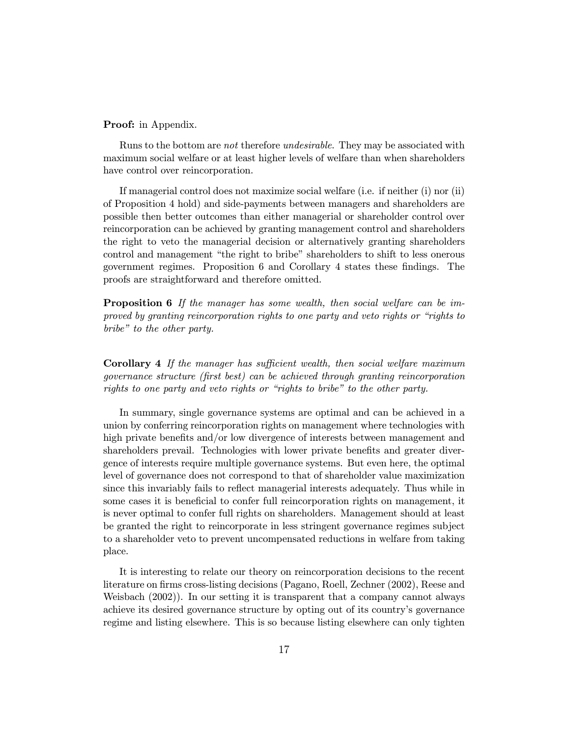Proof: in Appendix.

Runs to the bottom are not therefore undesirable. They may be associated with maximum social welfare or at least higher levels of welfare than when shareholders have control over reincorporation.

If managerial control does not maximize social welfare (i.e. if neither (i) nor (ii) of Proposition 4 hold) and side-payments between managers and shareholders are possible then better outcomes than either managerial or shareholder control over reincorporation can be achieved by granting management control and shareholders the right to veto the managerial decision or alternatively granting shareholders control and management "the right to bribe" shareholders to shift to less onerous government regimes. Proposition 6 and Corollary 4 states these findings. The proofs are straightforward and therefore omitted.

**Proposition 6** If the manager has some wealth, then social welfare can be improved by granting reincorporation rights to one party and veto rights or "rights to bribe" to the other party.

Corollary 4 If the manager has sufficient wealth, then social welfare maximum governance structure (first best) can be achieved through granting reincorporation rights to one party and veto rights or "rights to bribe" to the other party.

In summary, single governance systems are optimal and can be achieved in a union by conferring reincorporation rights on management where technologies with high private benefits and/or low divergence of interests between management and shareholders prevail. Technologies with lower private benefits and greater divergence of interests require multiple governance systems. But even here, the optimal level of governance does not correspond to that of shareholder value maximization since this invariably fails to reflect managerial interests adequately. Thus while in some cases it is beneficial to confer full reincorporation rights on management, it is never optimal to confer full rights on shareholders. Management should at least be granted the right to reincorporate in less stringent governance regimes subject to a shareholder veto to prevent uncompensated reductions in welfare from taking place.

It is interesting to relate our theory on reincorporation decisions to the recent literature on firms cross-listing decisions (Pagano, Roell, Zechner (2002), Reese and Weisbach (2002)). In our setting it is transparent that a company cannot always achieve its desired governance structure by opting out of its country's governance regime and listing elsewhere. This is so because listing elsewhere can only tighten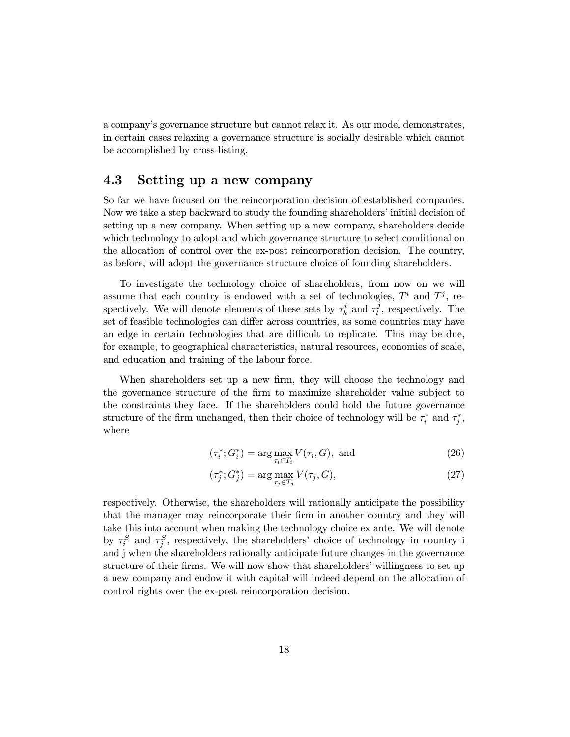a company's governance structure but cannot relax it. As our model demonstrates, in certain cases relaxing a governance structure is socially desirable which cannot be accomplished by cross-listing.

### 4.3 Setting up a new company

So far we have focused on the reincorporation decision of established companies. Now we take a step backward to study the founding shareholders' initial decision of setting up a new company. When setting up a new company, shareholders decide which technology to adopt and which governance structure to select conditional on the allocation of control over the ex-post reincorporation decision. The country, as before, will adopt the governance structure choice of founding shareholders.

To investigate the technology choice of shareholders, from now on we will assume that each country is endowed with a set of technologies,  $T<sup>i</sup>$  and  $T<sup>j</sup>$ , respectively. We will denote elements of these sets by  $\tau_k^i$  and  $\tau_l^j$ , respectively. The set of feasible technologies can differ across countries, as some countries may have an edge in certain technologies that are difficult to replicate. This may be due, for example, to geographical characteristics, natural resources, economies of scale, and education and training of the labour force.

When shareholders set up a new firm, they will choose the technology and the governance structure of the firm to maximize shareholder value subject to the constraints they face. If the shareholders could hold the future governance structure of the firm unchanged, then their choice of technology will be  $\tau_i^*$  and  $\tau_j^*$ , where

$$
(\tau_i^*; G_i^*) = \arg\max_{\tau_i \in T_i} V(\tau_i, G), \text{ and } (26)
$$

$$
(\tau_j^*; G_j^*) = \arg\max_{\tau_j \in T_j} V(\tau_j, G),\tag{27}
$$

respectively. Otherwise, the shareholders will rationally anticipate the possibility that the manager may reincorporate their firm in another country and they will take this into account when making the technology choice ex ante. We will denote by  $\tau_i^S$  and  $\tau_j^S$ , respectively, the shareholders' choice of technology in country i and j when the shareholders rationally anticipate future changes in the governance structure of their firms. We will now show that shareholders' willingness to set up a new company and endow it with capital will indeed depend on the allocation of control rights over the ex-post reincorporation decision.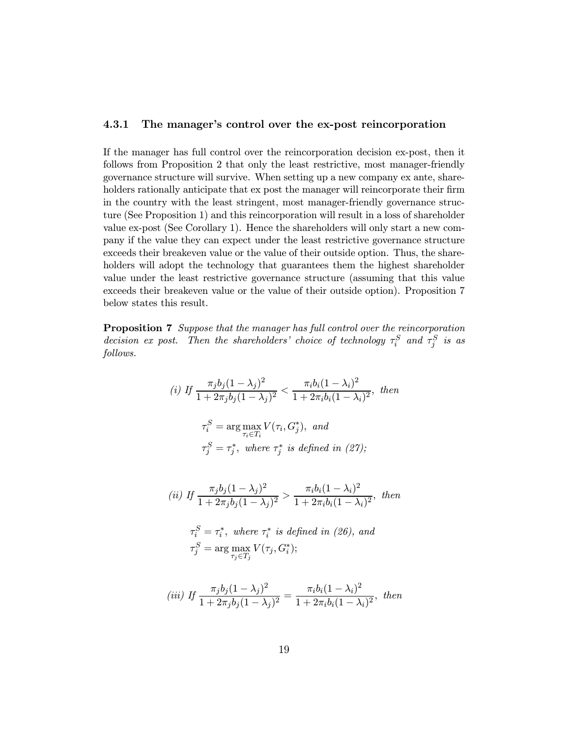#### 4.3.1 The manager's control over the ex-post reincorporation

If the manager has full control over the reincorporation decision ex-post, then it follows from Proposition 2 that only the least restrictive, most manager-friendly governance structure will survive. When setting up a new company ex ante, shareholders rationally anticipate that ex post the manager will reincorporate their firm in the country with the least stringent, most manager-friendly governance structure (See Proposition 1) and this reincorporation will result in a loss of shareholder value ex-post (See Corollary 1). Hence the shareholders will only start a new company if the value they can expect under the least restrictive governance structure exceeds their breakeven value or the value of their outside option. Thus, the shareholders will adopt the technology that guarantees them the highest shareholder value under the least restrictive governance structure (assuming that this value exceeds their breakeven value or the value of their outside option). Proposition 7 below states this result.

Proposition 7 Suppose that the manager has full control over the reincorporation decision ex post. Then the shareholders' choice of technology  $\tau_i^S$  and  $\tau_j^S$  is as follows.

(i) If 
$$
\frac{\pi_j b_j (1 - \lambda_j)^2}{1 + 2\pi_j b_j (1 - \lambda_j)^2} < \frac{\pi_i b_i (1 - \lambda_i)^2}{1 + 2\pi_i b_i (1 - \lambda_i)^2}, \text{ then}
$$
\n
$$
\tau_i^S = \arg \max_{\tau_i \in T_i} V(\tau_i, G_j^*), \text{ and}
$$
\n
$$
\tau_j^S = \tau_j^*, \text{ where } \tau_j^* \text{ is defined in (27);}
$$

(*ii*) If 
$$
\frac{\pi_j b_j (1 - \lambda_j)^2}{1 + 2\pi_j b_j (1 - \lambda_j)^2} > \frac{\pi_i b_i (1 - \lambda_i)^2}{1 + 2\pi_i b_i (1 - \lambda_i)^2}
$$
, then  
\n $\tau_i^S = \tau_i^*$ , where  $\tau_i^*$  is defined in (26), and  
\n $\tau_j^S = \arg \max_{\tau_j \in T_j} V(\tau_j, G_i^*)$ ;

(iii) If 
$$
\frac{\pi_j b_j (1 - \lambda_j)^2}{1 + 2\pi_j b_j (1 - \lambda_j)^2} = \frac{\pi_i b_i (1 - \lambda_i)^2}{1 + 2\pi_i b_i (1 - \lambda_i)^2},
$$
 then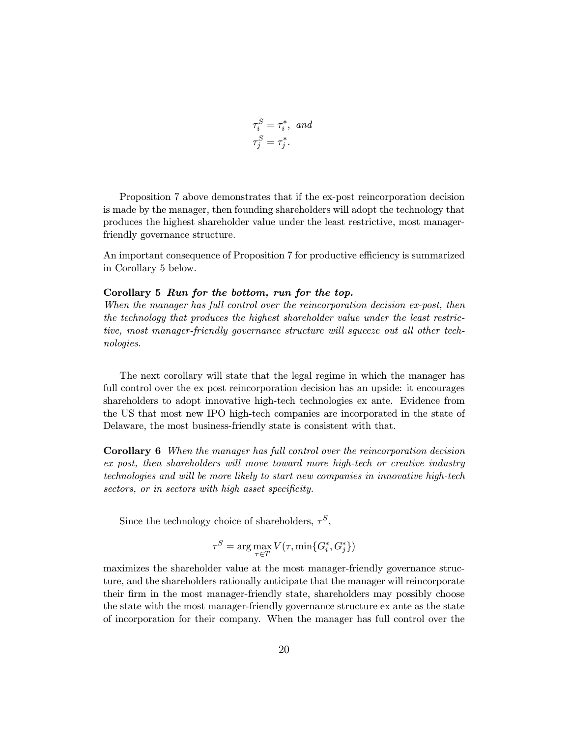$$
\tau_i^S = \tau_i^*, \text{ and}
$$

$$
\tau_j^S = \tau_j^*.
$$

Proposition 7 above demonstrates that if the ex-post reincorporation decision is made by the manager, then founding shareholders will adopt the technology that produces the highest shareholder value under the least restrictive, most managerfriendly governance structure.

An important consequence of Proposition 7 for productive efficiency is summarized in Corollary 5 below.

#### Corollary 5 Run for the bottom, run for the top.

When the manager has full control over the reincorporation decision ex-post, then the technology that produces the highest shareholder value under the least restrictive, most manager-friendly governance structure will squeeze out all other technologies.

The next corollary will state that the legal regime in which the manager has full control over the ex post reincorporation decision has an upside: it encourages shareholders to adopt innovative high-tech technologies ex ante. Evidence from the US that most new IPO high-tech companies are incorporated in the state of Delaware, the most business-friendly state is consistent with that.

Corollary 6 When the manager has full control over the reincorporation decision ex post, then shareholders will move toward more high-tech or creative industry technologies and will be more likely to start new companies in innovative high-tech sectors, or in sectors with high asset specificity.

Since the technology choice of shareholders,  $\tau^S$ ,

$$
\tau^S = \arg\max_{\tau \in T} V(\tau, \min\{G_i^*, G_j^*\})
$$

maximizes the shareholder value at the most manager-friendly governance structure, and the shareholders rationally anticipate that the manager will reincorporate their firm in the most manager-friendly state, shareholders may possibly choose the state with the most manager-friendly governance structure ex ante as the state of incorporation for their company. When the manager has full control over the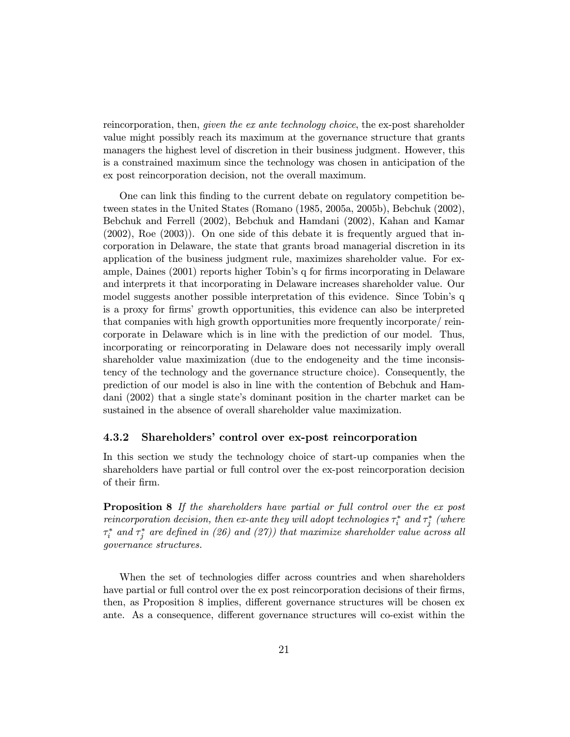reincorporation, then, *given the ex ante technology choice*, the ex-post shareholder value might possibly reach its maximum at the governance structure that grants managers the highest level of discretion in their business judgment. However, this is a constrained maximum since the technology was chosen in anticipation of the ex post reincorporation decision, not the overall maximum.

One can link this finding to the current debate on regulatory competition between states in the United States (Romano (1985, 2005a, 2005b), Bebchuk (2002), Bebchuk and Ferrell (2002), Bebchuk and Hamdani (2002), Kahan and Kamar (2002), Roe (2003)). On one side of this debate it is frequently argued that incorporation in Delaware, the state that grants broad managerial discretion in its application of the business judgment rule, maximizes shareholder value. For example, Daines (2001) reports higher Tobin's q for firms incorporating in Delaware and interprets it that incorporating in Delaware increases shareholder value. Our model suggests another possible interpretation of this evidence. Since Tobin's q is a proxy for firms' growth opportunities, this evidence can also be interpreted that companies with high growth opportunities more frequently incorporate/ reincorporate in Delaware which is in line with the prediction of our model. Thus, incorporating or reincorporating in Delaware does not necessarily imply overall shareholder value maximization (due to the endogeneity and the time inconsistency of the technology and the governance structure choice). Consequently, the prediction of our model is also in line with the contention of Bebchuk and Hamdani (2002) that a single state's dominant position in the charter market can be sustained in the absence of overall shareholder value maximization.

#### 4.3.2 Shareholders' control over ex-post reincorporation

In this section we study the technology choice of start-up companies when the shareholders have partial or full control over the ex-post reincorporation decision of their firm.

**Proposition 8** If the shareholders have partial or full control over the ex post reincorporation decision, then ex-ante they will adopt technologies  $\tau^*_i$  and  $\tau^*_j$  (where  $\tau_i^*$  and  $\tau_j^*$  are defined in (26) and (27)) that maximize shareholder value across all governance structures.

When the set of technologies differ across countries and when shareholders have partial or full control over the ex post reincorporation decisions of their firms, then, as Proposition 8 implies, different governance structures will be chosen ex ante. As a consequence, different governance structures will co-exist within the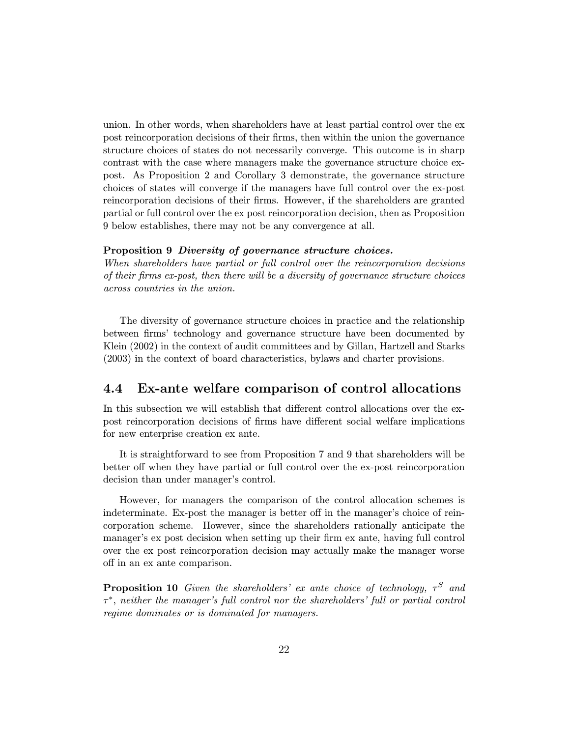union. In other words, when shareholders have at least partial control over the ex post reincorporation decisions of their firms, then within the union the governance structure choices of states do not necessarily converge. This outcome is in sharp contrast with the case where managers make the governance structure choice expost. As Proposition 2 and Corollary 3 demonstrate, the governance structure choices of states will converge if the managers have full control over the ex-post reincorporation decisions of their firms. However, if the shareholders are granted partial or full control over the ex post reincorporation decision, then as Proposition 9 below establishes, there may not be any convergence at all.

#### Proposition 9 Diversity of governance structure choices.

When shareholders have partial or full control over the reincorporation decisions of their firms ex-post, then there will be a diversity of governance structure choices across countries in the union.

The diversity of governance structure choices in practice and the relationship between firms' technology and governance structure have been documented by Klein (2002) in the context of audit committees and by Gillan, Hartzell and Starks (2003) in the context of board characteristics, bylaws and charter provisions.

### 4.4 Ex-ante welfare comparison of control allocations

In this subsection we will establish that different control allocations over the expost reincorporation decisions of firms have different social welfare implications for new enterprise creation ex ante.

It is straightforward to see from Proposition 7 and 9 that shareholders will be better off when they have partial or full control over the ex-post reincorporation decision than under manager's control.

However, for managers the comparison of the control allocation schemes is indeterminate. Ex-post the manager is better off in the manager's choice of reincorporation scheme. However, since the shareholders rationally anticipate the manager's ex post decision when setting up their firm ex ante, having full control over the ex post reincorporation decision may actually make the manager worse off in an ex ante comparison.

**Proposition 10** Given the shareholders' ex ante choice of technology,  $\tau^S$  and  $\tau^*$ , neither the manager's full control nor the shareholders' full or partial control regime dominates or is dominated for managers.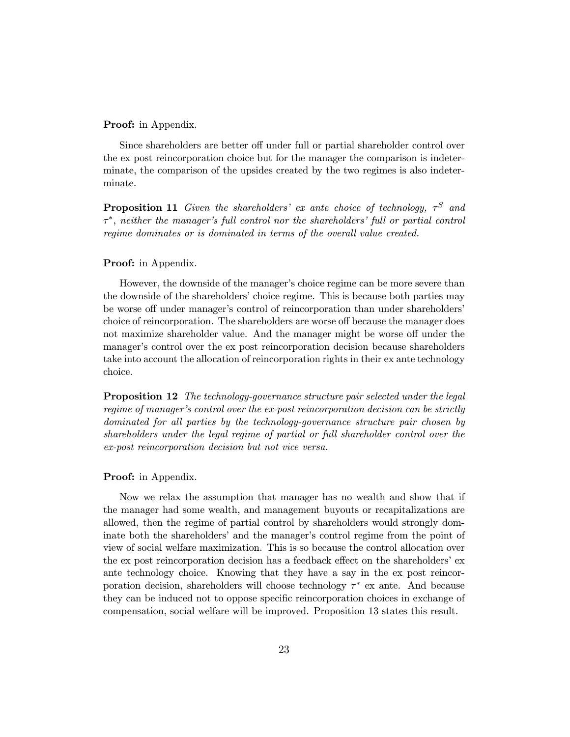#### Proof: in Appendix.

Since shareholders are better off under full or partial shareholder control over the ex post reincorporation choice but for the manager the comparison is indeterminate, the comparison of the upsides created by the two regimes is also indeterminate.

**Proposition 11** Given the shareholders' ex ante choice of technology,  $\tau^S$  and  $\tau^*$ , neither the manager's full control nor the shareholders' full or partial control regime dominates or is dominated in terms of the overall value created.

#### Proof: in Appendix.

However, the downside of the manager's choice regime can be more severe than the downside of the shareholders' choice regime. This is because both parties may be worse off under manager's control of reincorporation than under shareholders' choice of reincorporation. The shareholders are worse off because the manager does not maximize shareholder value. And the manager might be worse off under the manager's control over the ex post reincorporation decision because shareholders take into account the allocation of reincorporation rights in their ex ante technology choice.

Proposition 12 The technology-governance structure pair selected under the legal regime of manager's control over the ex-post reincorporation decision can be strictly dominated for all parties by the technology-governance structure pair chosen by shareholders under the legal regime of partial or full shareholder control over the ex-post reincorporation decision but not vice versa.

#### Proof: in Appendix.

Now we relax the assumption that manager has no wealth and show that if the manager had some wealth, and management buyouts or recapitalizations are allowed, then the regime of partial control by shareholders would strongly dominate both the shareholders' and the manager's control regime from the point of view of social welfare maximization. This is so because the control allocation over the ex post reincorporation decision has a feedback effect on the shareholders' ex ante technology choice. Knowing that they have a say in the ex post reincorporation decision, shareholders will choose technology  $\tau^*$  ex ante. And because they can be induced not to oppose specific reincorporation choices in exchange of compensation, social welfare will be improved. Proposition 13 states this result.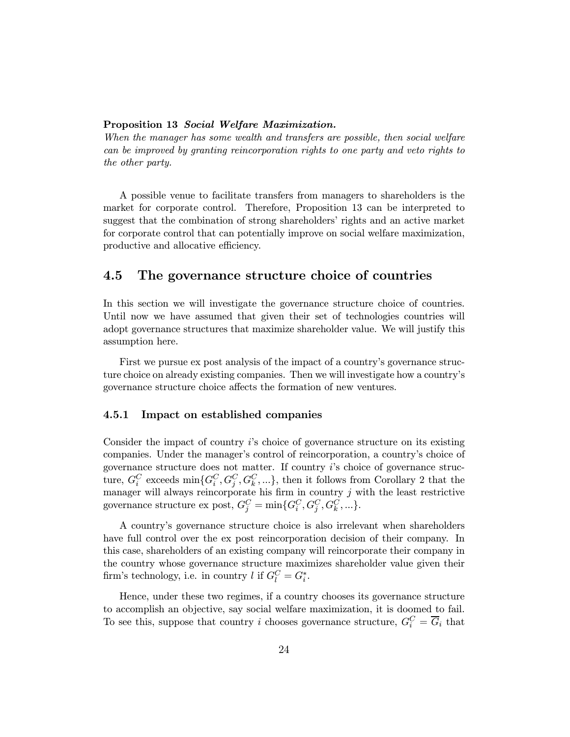#### Proposition 13 Social Welfare Maximization.

When the manager has some wealth and transfers are possible, then social welfare can be improved by granting reincorporation rights to one party and veto rights to the other party.

A possible venue to facilitate transfers from managers to shareholders is the market for corporate control. Therefore, Proposition 13 can be interpreted to suggest that the combination of strong shareholders' rights and an active market for corporate control that can potentially improve on social welfare maximization, productive and allocative efficiency.

### 4.5 The governance structure choice of countries

In this section we will investigate the governance structure choice of countries. Until now we have assumed that given their set of technologies countries will adopt governance structures that maximize shareholder value. We will justify this assumption here.

First we pursue ex post analysis of the impact of a country's governance structure choice on already existing companies. Then we will investigate how a country's governance structure choice affects the formation of new ventures.

#### 4.5.1 Impact on established companies

Consider the impact of country i's choice of governance structure on its existing companies. Under the manager's control of reincorporation, a country's choice of governance structure does not matter. If country i's choice of governance structure,  $G_i^C$  exceeds  $\min\{G_i^C, G_j^C, G_k^C, \ldots\}$ , then it follows from Corollary 2 that the manager will always reincorporate his firm in country  $j$  with the least restrictive governance structure ex post,  $G_j^C = \min\{G_i^C, G_j^C, G_k^C, ...\}.$ 

A country's governance structure choice is also irrelevant when shareholders have full control over the ex post reincorporation decision of their company. In this case, shareholders of an existing company will reincorporate their company in the country whose governance structure maximizes shareholder value given their firm's technology, i.e. in country l if  $G_l^C = G_i^*$ .

Hence, under these two regimes, if a country chooses its governance structure to accomplish an objective, say social welfare maximization, it is doomed to fail. To see this, suppose that country i chooses governance structure,  $G_i^C = \overline{G}_i$  that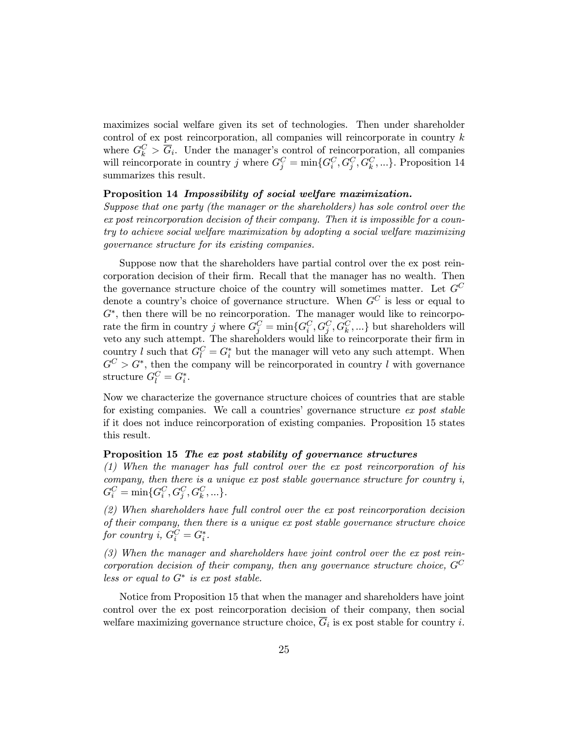maximizes social welfare given its set of technologies. Then under shareholder control of ex post reincorporation, all companies will reincorporate in country  $k$ where  $G_k^C > \overline{G}_i$ . Under the manager's control of reincorporation, all companies will reincorporate in country j where  $G_j^C = \min\{G_i^C, G_j^C, G_k^C, ...\}$ . Proposition 14 summarizes this result.

#### Proposition 14 Impossibility of social welfare maximization.

Suppose that one party (the manager or the shareholders) has sole control over the ex post reincorporation decision of their company. Then it is impossible for a country to achieve social welfare maximization by adopting a social welfare maximizing governance structure for its existing companies.

Suppose now that the shareholders have partial control over the ex post reincorporation decision of their firm. Recall that the manager has no wealth. Then the governance structure choice of the country will sometimes matter. Let  $G^C$ denote a country's choice of governance structure. When  $G^C$  is less or equal to  $G^*$ , then there will be no reincorporation. The manager would like to reincorporate the firm in country j where  $G_j^C = \min\{G_i^C, G_j^C, G_k^C, ...\}$  but shareholders will veto any such attempt. The shareholders would like to reincorporate their firm in country l such that  $G_l^C = G_i^*$  but the manager will veto any such attempt. When  $G^C > G^*$ , then the company will be reincorporated in country l with governance structure  $G_l^C = G_i^*$ .

Now we characterize the governance structure choices of countries that are stable for existing companies. We call a countries' governance structure ex post stable if it does not induce reincorporation of existing companies. Proposition 15 states this result.

#### Proposition 15 The ex post stability of governance structures

(1) When the manager has full control over the ex post reincorporation of his company, then there is a unique ex post stable governance structure for country i,  $G_i^C = \min\{G_i^C, G_j^C, G_k^C, ...\}.$ 

(2) When shareholders have full control over the ex post reincorporation decision of their company, then there is a unique ex post stable governance structure choice for country i,  $G_i^C = G_i^*$ .

(3) When the manager and shareholders have joint control over the ex post reincorporation decision of their company, then any governance structure choice,  $G^C$ less or equal to  $G^*$  is expost stable.

Notice from Proposition 15 that when the manager and shareholders have joint control over the ex post reincorporation decision of their company, then social welfare maximizing governance structure choice,  $\overline{G}_i$  is ex post stable for country i.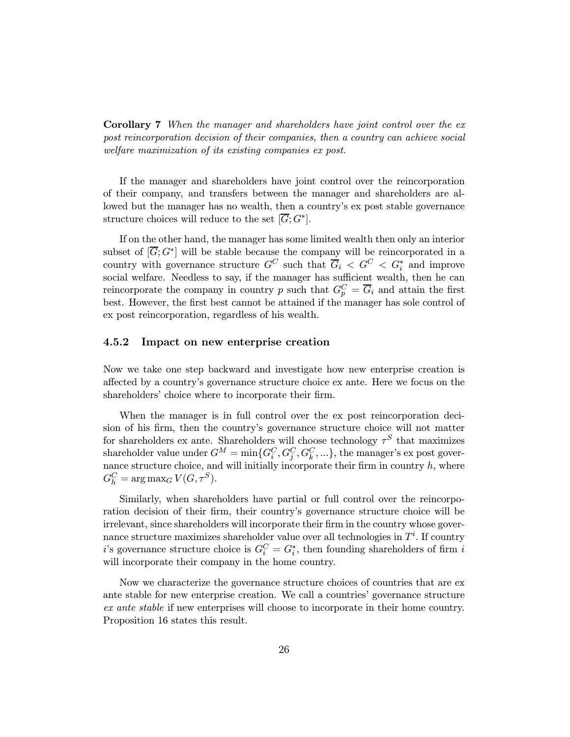Corollary 7 When the manager and shareholders have joint control over the ex post reincorporation decision of their companies, then a country can achieve social welfare maximization of its existing companies ex post.

If the manager and shareholders have joint control over the reincorporation of their company, and transfers between the manager and shareholders are allowed but the manager has no wealth, then a country's ex post stable governance structure choices will reduce to the set  $[G;G^*]$ .

If on the other hand, the manager has some limited wealth then only an interior subset of  $[\overline{G}; G^*]$  will be stable because the company will be reincorporated in a country with governance structure  $G^C$  such that  $\overline{G}_i < G^C < G_i^*$  and improve social welfare. Needless to say, if the manager has sufficient wealth, then he can reincorporate the company in country p such that  $G_p^C = \overline{G}_i$  and attain the first best. However, the first best cannot be attained if the manager has sole control of ex post reincorporation, regardless of his wealth.

#### 4.5.2 Impact on new enterprise creation

Now we take one step backward and investigate how new enterprise creation is affected by a country's governance structure choice ex ante. Here we focus on the shareholders' choice where to incorporate their firm.

When the manager is in full control over the ex post reincorporation decision of his firm, then the country's governance structure choice will not matter for shareholders ex ante. Shareholders will choose technology  $\tau^S$  that maximizes  ${\rm shared}$  shareholder value under  $G^M = \min\{G_i^C, G_j^C, G_k^C, ...\},$  the manager's ex post governance structure choice, and will initially incorporate their firm in country  $h$ , where  $G_h^C = \arg \max_G V(G, \tau^S).$ 

Similarly, when shareholders have partial or full control over the reincorporation decision of their firm, their country's governance structure choice will be irrelevant, since shareholders will incorporate their firm in the country whose governance structure maximizes shareholder value over all technologies in  $T^i$ . If country  $i$ 's governance structure choice is  $G_i^C = G_i^*$ , then founding shareholders of firm  $i$ will incorporate their company in the home country.

Now we characterize the governance structure choices of countries that are ex ante stable for new enterprise creation. We call a countries' governance structure ex ante stable if new enterprises will choose to incorporate in their home country. Proposition 16 states this result.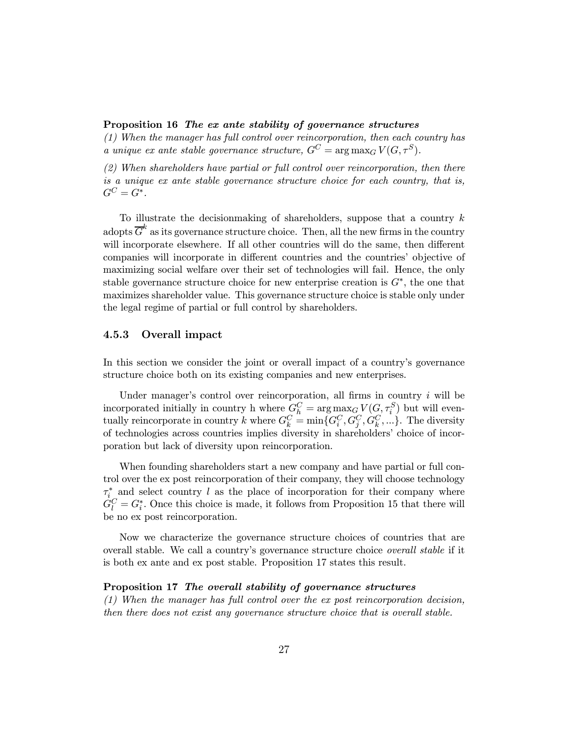#### Proposition 16 The ex ante stability of governance structures

(1) When the manager has full control over reincorporation, then each country has a unique ex ante stable governance structure,  $G^C = \arg \max_{G} V(G, \tau^S)$ .

(2) When shareholders have partial or full control over reincorporation, then there is a unique ex ante stable governance structure choice for each country, that is,  $G^{C} = G^{*}.$ 

To illustrate the decision making of shareholders, suppose that a country  $k$ adopts  $\overline{G}^k$  as its governance structure choice. Then, all the new firms in the country will incorporate elsewhere. If all other countries will do the same, then different companies will incorporate in different countries and the countries' objective of maximizing social welfare over their set of technologies will fail. Hence, the only stable governance structure choice for new enterprise creation is  $G^*$ , the one that maximizes shareholder value. This governance structure choice is stable only under the legal regime of partial or full control by shareholders.

#### 4.5.3 Overall impact

In this section we consider the joint or overall impact of a country's governance structure choice both on its existing companies and new enterprises.

Under manager's control over reincorporation, all firms in country i will be incorporated initially in country h where  $G_h^C = \arg \max_{G} V(G, \tau_i^S)$  but will eventually reincorporate in country k where  $G_k^C = \min\{G_i^C, G_j^C, G_k^C, ...\}$ . The diversity of technologies across countries implies diversity in shareholders' choice of incorporation but lack of diversity upon reincorporation.

When founding shareholders start a new company and have partial or full control over the ex post reincorporation of their company, they will choose technology  $\tau_{i}^{*}$  and select country l as the place of incorporation for their company where  $G_l^C = G_i^*$ . Once this choice is made, it follows from Proposition 15 that there will be no ex post reincorporation.

Now we characterize the governance structure choices of countries that are overall stable. We call a country's governance structure choice overall stable if it is both ex ante and ex post stable. Proposition 17 states this result.

#### Proposition 17 The overall stability of governance structures

(1) When the manager has full control over the ex post reincorporation decision, then there does not exist any governance structure choice that is overall stable.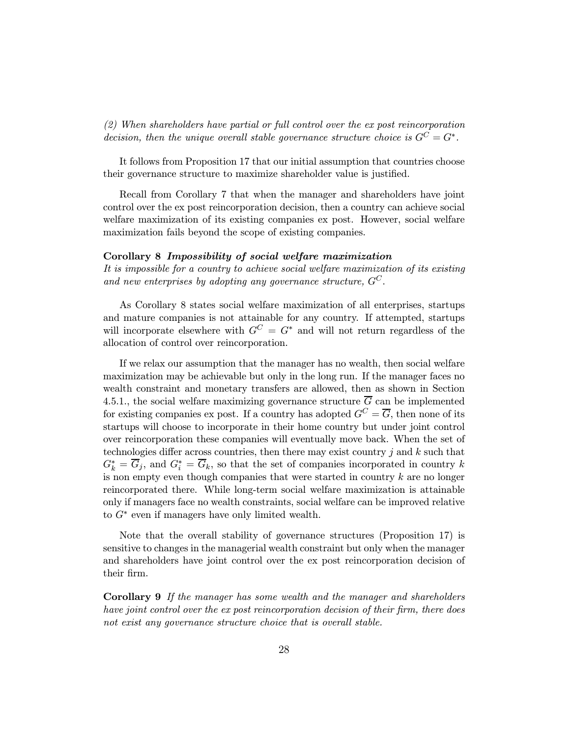(2) When shareholders have partial or full control over the ex post reincorporation decision, then the unique overall stable governance structure choice is  $G^C = G^*$ .

It follows from Proposition 17 that our initial assumption that countries choose their governance structure to maximize shareholder value is justified.

Recall from Corollary 7 that when the manager and shareholders have joint control over the ex post reincorporation decision, then a country can achieve social welfare maximization of its existing companies ex post. However, social welfare maximization fails beyond the scope of existing companies.

#### Corollary 8 Impossibility of social welfare maximization

It is impossible for a country to achieve social welfare maximization of its existing and new enterprises by adopting any governance structure,  $G^C$ .

As Corollary 8 states social welfare maximization of all enterprises, startups and mature companies is not attainable for any country. If attempted, startups will incorporate elsewhere with  $G^C = G^*$  and will not return regardless of the allocation of control over reincorporation.

If we relax our assumption that the manager has no wealth, then social welfare maximization may be achievable but only in the long run. If the manager faces no wealth constraint and monetary transfers are allowed, then as shown in Section 4.5.1., the social welfare maximizing governance structure  $\overline{G}$  can be implemented for existing companies ex post. If a country has adopted  $G^C = \overline{G}$ , then none of its startups will choose to incorporate in their home country but under joint control over reincorporation these companies will eventually move back. When the set of technologies differ across countries, then there may exist country  $j$  and  $k$  such that  $G_k^* = \overline{G}_j$ , and  $G_i^* = \overline{G}_k$ , so that the set of companies incorporated in country k is non empty even though companies that were started in country  $k$  are no longer reincorporated there. While long-term social welfare maximization is attainable only if managers face no wealth constraints, social welfare can be improved relative to  $G^*$  even if managers have only limited wealth.

Note that the overall stability of governance structures (Proposition 17) is sensitive to changes in the managerial wealth constraint but only when the manager and shareholders have joint control over the ex post reincorporation decision of their firm.

Corollary 9 If the manager has some wealth and the manager and shareholders have joint control over the ex post reincorporation decision of their firm, there does not exist any governance structure choice that is overall stable.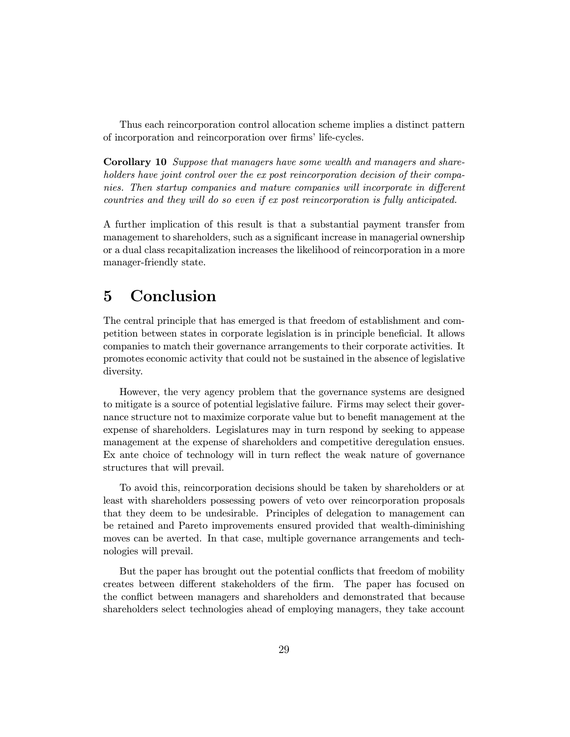Thus each reincorporation control allocation scheme implies a distinct pattern of incorporation and reincorporation over firms' life-cycles.

Corollary 10 Suppose that managers have some wealth and managers and shareholders have joint control over the ex post reincorporation decision of their companies. Then startup companies and mature companies will incorporate in different countries and they will do so even if ex post reincorporation is fully anticipated.

A further implication of this result is that a substantial payment transfer from management to shareholders, such as a significant increase in managerial ownership or a dual class recapitalization increases the likelihood of reincorporation in a more manager-friendly state.

## 5 Conclusion

The central principle that has emerged is that freedom of establishment and competition between states in corporate legislation is in principle beneficial. It allows companies to match their governance arrangements to their corporate activities. It promotes economic activity that could not be sustained in the absence of legislative diversity.

However, the very agency problem that the governance systems are designed to mitigate is a source of potential legislative failure. Firms may select their governance structure not to maximize corporate value but to benefit management at the expense of shareholders. Legislatures may in turn respond by seeking to appease management at the expense of shareholders and competitive deregulation ensues. Ex ante choice of technology will in turn reflect the weak nature of governance structures that will prevail.

To avoid this, reincorporation decisions should be taken by shareholders or at least with shareholders possessing powers of veto over reincorporation proposals that they deem to be undesirable. Principles of delegation to management can be retained and Pareto improvements ensured provided that wealth-diminishing moves can be averted. In that case, multiple governance arrangements and technologies will prevail.

But the paper has brought out the potential conflicts that freedom of mobility creates between different stakeholders of the firm. The paper has focused on the conflict between managers and shareholders and demonstrated that because shareholders select technologies ahead of employing managers, they take account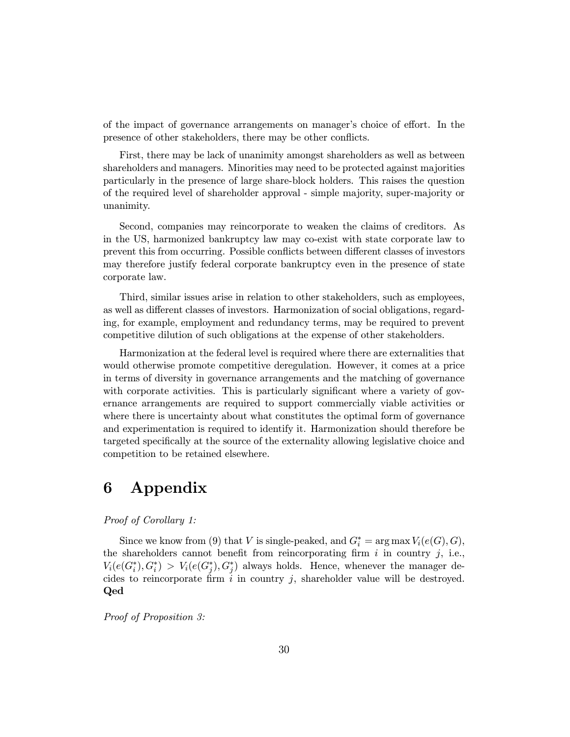of the impact of governance arrangements on manager's choice of effort. In the presence of other stakeholders, there may be other conflicts.

First, there may be lack of unanimity amongst shareholders as well as between shareholders and managers. Minorities may need to be protected against majorities particularly in the presence of large share-block holders. This raises the question of the required level of shareholder approval - simple majority, super-majority or unanimity.

Second, companies may reincorporate to weaken the claims of creditors. As in the US, harmonized bankruptcy law may co-exist with state corporate law to prevent this from occurring. Possible conflicts between different classes of investors may therefore justify federal corporate bankruptcy even in the presence of state corporate law.

Third, similar issues arise in relation to other stakeholders, such as employees, as well as different classes of investors. Harmonization of social obligations, regarding, for example, employment and redundancy terms, may be required to prevent competitive dilution of such obligations at the expense of other stakeholders.

Harmonization at the federal level is required where there are externalities that would otherwise promote competitive deregulation. However, it comes at a price in terms of diversity in governance arrangements and the matching of governance with corporate activities. This is particularly significant where a variety of governance arrangements are required to support commercially viable activities or where there is uncertainty about what constitutes the optimal form of governance and experimentation is required to identify it. Harmonization should therefore be targeted specifically at the source of the externality allowing legislative choice and competition to be retained elsewhere.

## 6 Appendix

#### Proof of Corollary 1:

Since we know from (9) that V is single-peaked, and  $G_i^* = \arg \max V_i(e(G), G)$ , the shareholders cannot benefit from reincorporating firm i in country j, i.e.,  $V_i(e(G_i^*), G_i^*) > V_i(e(G_j^*), G_j^*)$  always holds. Hence, whenever the manager decides to reincorporate firm  $i$  in country  $j$ , shareholder value will be destroyed. Qed

Proof of Proposition 3: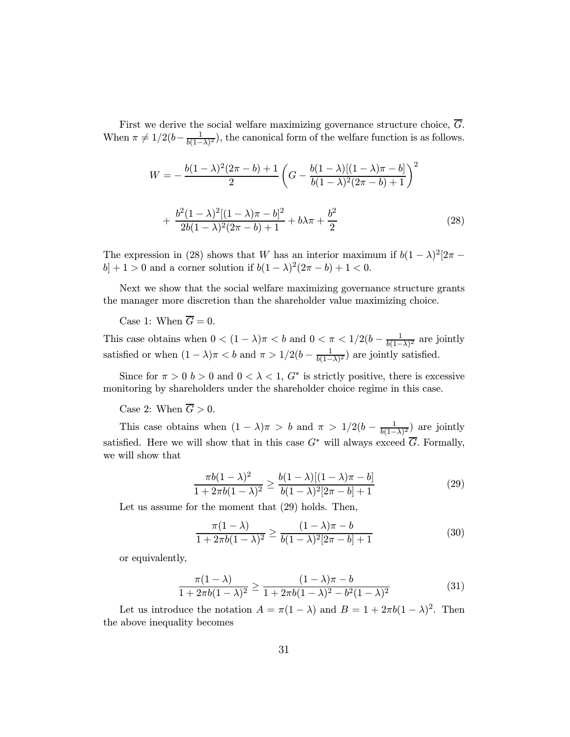First we derive the social welfare maximizing governance structure choice,  $\overline{G}$ . When  $\pi \neq 1/2(b - \frac{1}{b(1-\lambda)^2})$ , the canonical form of the welfare function is as follows.

$$
W = -\frac{b(1-\lambda)^2(2\pi - b) + 1}{2} \left( G - \frac{b(1-\lambda)[(1-\lambda)\pi - b]}{b(1-\lambda)^2(2\pi - b) + 1} \right)^2
$$

$$
+ \frac{b^2(1-\lambda)^2[(1-\lambda)\pi - b]^2}{2b(1-\lambda)^2(2\pi - b) + 1} + b\lambda\pi + \frac{b^2}{2}
$$
(28)

The expression in (28) shows that W has an interior maximum if  $b(1 - \lambda)^2 [2\pi -]$ b] + 1 > 0 and a corner solution if  $b(1 - \lambda)^2(2\pi - b) + 1 < 0$ .

Next we show that the social welfare maximizing governance structure grants the manager more discretion than the shareholder value maximizing choice.

Case 1: When  $\overline{G} = 0$ .

This case obtains when  $0 < (1 - \lambda)\pi < b$  and  $0 < \pi < 1/2(b - \frac{1}{b(1-\lambda)^2})$  are jointly satisfied or when  $(1 - \lambda)\pi < b$  and  $\pi > 1/2(b - \frac{1}{b(1-\lambda)^2})$  are jointly satisfied.

Since for  $\pi > 0$  b > 0 and  $0 < \lambda < 1$ ,  $G^*$  is strictly positive, there is excessive monitoring by shareholders under the shareholder choice regime in this case.

Case 2: When  $\overline{G} > 0$ .

This case obtains when  $(1 - \lambda)\pi > b$  and  $\pi > 1/2(b - \frac{1}{b(1-\lambda)^2})$  are jointly satisfied. Here we will show that in this case  $G^*$  will always exceed  $\overline{G}$ . Formally, we will show that

$$
\frac{\pi b(1-\lambda)^2}{1+2\pi b(1-\lambda)^2} \ge \frac{b(1-\lambda)[(1-\lambda)\pi - b]}{b(1-\lambda)^2[2\pi - b] + 1}
$$
(29)

Let us assume for the moment that (29) holds. Then,

$$
\frac{\pi(1-\lambda)}{1+2\pi b(1-\lambda)^2} \ge \frac{(1-\lambda)\pi - b}{b(1-\lambda)^2[2\pi - b] + 1}
$$
(30)

or equivalently,

$$
\frac{\pi(1-\lambda)}{1+2\pi b(1-\lambda)^2} \ge \frac{(1-\lambda)\pi - b}{1+2\pi b(1-\lambda)^2 - b^2(1-\lambda)^2} \tag{31}
$$

Let us introduce the notation  $A = \pi(1 - \lambda)$  and  $B = 1 + 2\pi b(1 - \lambda)^2$ . Then the above inequality becomes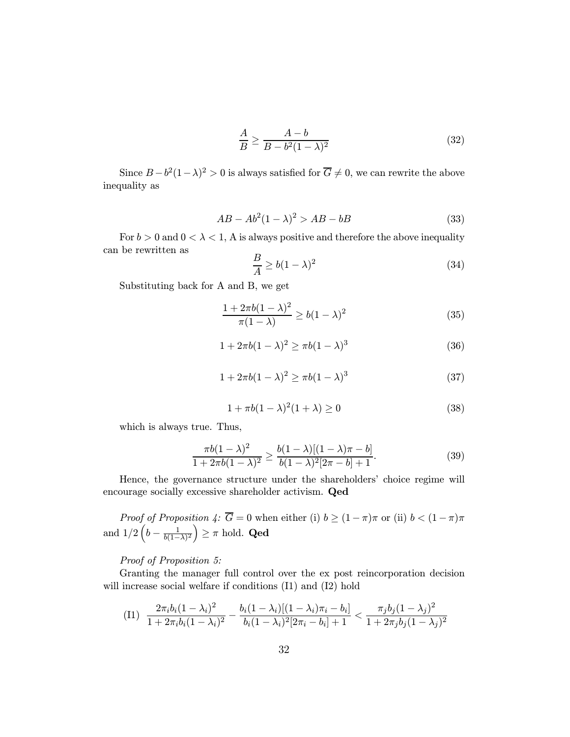$$
\frac{A}{B} \ge \frac{A - b}{B - b^2 (1 - \lambda)^2} \tag{32}
$$

Since  $B - b^2(1 - \lambda)^2 > 0$  is always satisfied for  $\overline{G} \neq 0$ , we can rewrite the above inequality as

$$
AB - Ab^2(1 - \lambda)^2 > AB - bB \tag{33}
$$

For  $b > 0$  and  $0 < \lambda < 1$ , A is always positive and therefore the above inequality can be rewritten as

$$
\frac{B}{A} \ge b(1-\lambda)^2\tag{34}
$$

Substituting back for A and B, we get

$$
\frac{1+2\pi b(1-\lambda)^2}{\pi(1-\lambda)} \ge b(1-\lambda)^2\tag{35}
$$

$$
1 + 2\pi b(1 - \lambda)^2 \ge \pi b(1 - \lambda)^3
$$
 (36)

$$
1 + 2\pi b(1 - \lambda)^2 \ge \pi b(1 - \lambda)^3 \tag{37}
$$

$$
1 + \pi b(1 - \lambda)^2 (1 + \lambda) \ge 0 \tag{38}
$$

which is always true. Thus,

$$
\frac{\pi b(1-\lambda)^2}{1+2\pi b(1-\lambda)^2} \ge \frac{b(1-\lambda)[(1-\lambda)\pi - b]}{b(1-\lambda)^2[2\pi - b] + 1}.\tag{39}
$$

Hence, the governance structure under the shareholders' choice regime will encourage socially excessive shareholder activism. Qed

Proof of Proposition 4:  $G = 0$  when either (i)  $b \geq (1 - \pi)\pi$  or (ii)  $b < (1 - \pi)\pi$ and  $1/2\left(b-\frac{1}{b(1-\lambda)^2}\right)$  $\Big) \geq \pi$  hold. **Qed** 

#### Proof of Proposition 5:

Granting the manager full control over the ex post reincorporation decision will increase social welfare if conditions (I1) and (I2) hold

$$
(I1) \frac{2\pi_ib_i(1-\lambda_i)^2}{1+2\pi_ib_i(1-\lambda_i)^2} - \frac{b_i(1-\lambda_i)[(1-\lambda_i)\pi_i - b_i]}{b_i(1-\lambda_i)^2[2\pi_i - b_i] + 1} < \frac{\pi_jb_j(1-\lambda_j)^2}{1+2\pi_jb_j(1-\lambda_j)^2}
$$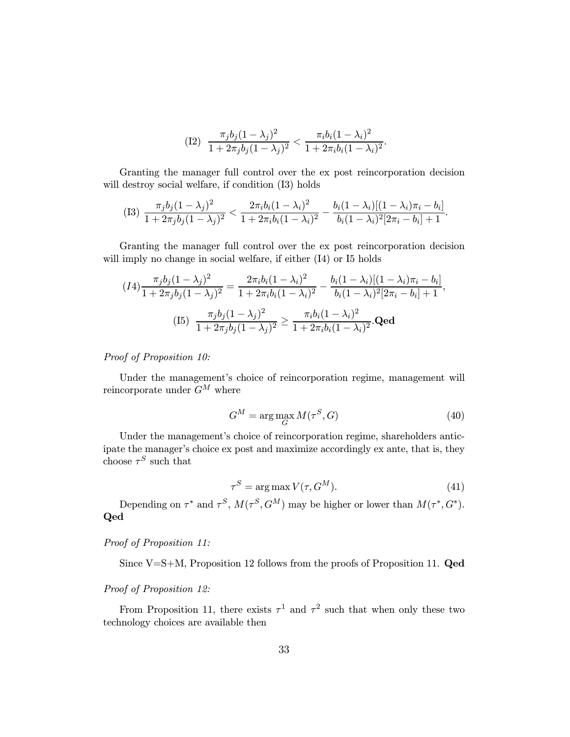$$
(I2)\ \ \frac{\pi_jb_j(1-\lambda_j)^2}{1+2\pi_jb_j(1-\lambda_j)^2}<\frac{\pi_ib_i(1-\lambda_i)^2}{1+2\pi_ib_i(1-\lambda_i)^2}.
$$

Granting the manager full control over the ex post reincorporation decision will destroy social welfare, if condition (I3) holds

$$
(I3)\ \frac{\pi_jb_j(1-\lambda_j)^2}{1+2\pi_jb_j(1-\lambda_j)^2}<\frac{2\pi_ib_i(1-\lambda_i)^2}{1+2\pi_ib_i(1-\lambda_i)^2}-\frac{b_i(1-\lambda_i)[(1-\lambda_i)\pi_i-b_i]}{b_i(1-\lambda_i)^2[2\pi_i-b_i]+1}.
$$

Granting the manager full control over the ex post reincorporation decision will imply no change in social welfare, if either  $(14)$  or  $15$  holds

$$
(I4)\frac{\pi_j b_j (1 - \lambda_j)^2}{1 + 2\pi_j b_j (1 - \lambda_j)^2} = \frac{2\pi_i b_i (1 - \lambda_i)^2}{1 + 2\pi_i b_i (1 - \lambda_i)^2} - \frac{b_i (1 - \lambda_i) [(1 - \lambda_i)\pi_i - b_i]}{b_i (1 - \lambda_i)^2 [2\pi_i - b_i] + 1},
$$
  
(I5) 
$$
\frac{\pi_j b_j (1 - \lambda_j)^2}{1 + 2\pi_j b_j (1 - \lambda_j)^2} \ge \frac{\pi_i b_i (1 - \lambda_i)^2}{1 + 2\pi_i b_i (1 - \lambda_i)^2} \cdot \text{Qed}
$$

Proof of Proposition 10:

Under the management's choice of reincorporation regime, management will reincorporate under  $G^M$  where

$$
G^M = \arg\max_G M(\tau^S, G) \tag{40}
$$

Under the management's choice of reincorporation regime, shareholders anticipate the manager's choice ex post and maximize accordingly ex ante, that is, they choose  $\tau^S$  such that

$$
\tau^S = \arg \max V(\tau, G^M). \tag{41}
$$

Depending on  $\tau^*$  and  $\tau^S$ ,  $M(\tau^S, G^M)$  may be higher or lower than  $M(\tau^*, G^*)$ . Qed

Proof of Proposition 11:

Since  $V=S+M$ , Proposition 12 follows from the proofs of Proposition 11. Qed

#### Proof of Proposition 12:

From Proposition 11, there exists  $\tau^1$  and  $\tau^2$  such that when only these two technology choices are available then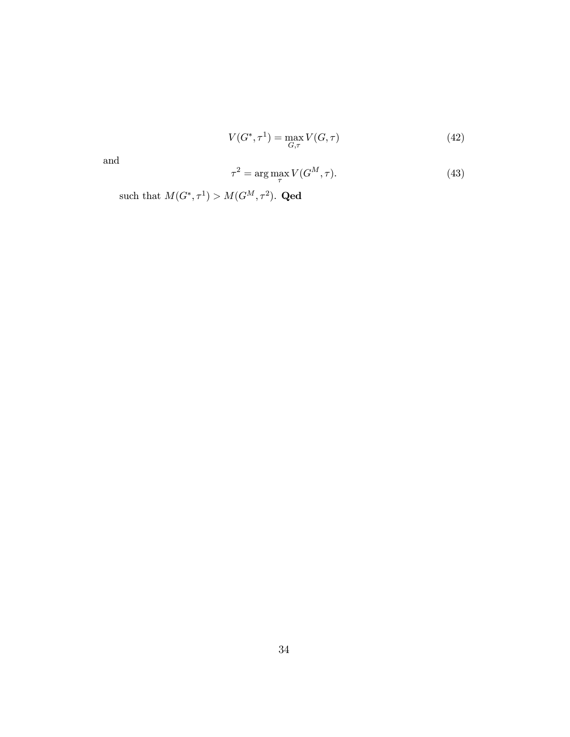$$
V(G^*, \tau^1) = \max_{G, \tau} V(G, \tau)
$$
\n
$$
\tag{42}
$$

and

$$
\tau^2 = \arg\max_{\tau} V(G^M, \tau). \tag{43}
$$

such that  $M(G^*, \tau^1) > M(G^M, \tau^2)$ . Qed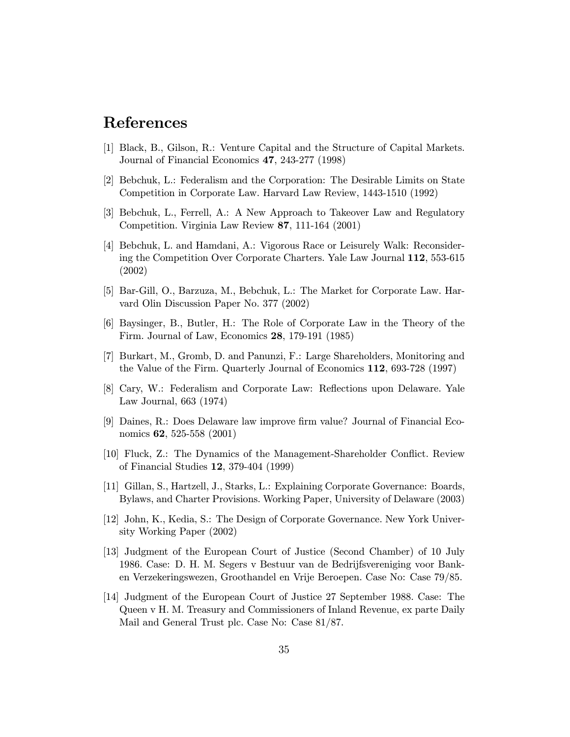# References

- [1] Black, B., Gilson, R.: Venture Capital and the Structure of Capital Markets. Journal of Financial Economics 47, 243-277 (1998)
- [2] Bebchuk, L.: Federalism and the Corporation: The Desirable Limits on State Competition in Corporate Law. Harvard Law Review, 1443-1510 (1992)
- [3] Bebchuk, L., Ferrell, A.: A New Approach to Takeover Law and Regulatory Competition. Virginia Law Review 87, 111-164 (2001)
- [4] Bebchuk, L. and Hamdani, A.: Vigorous Race or Leisurely Walk: Reconsidering the Competition Over Corporate Charters. Yale Law Journal 112, 553-615 (2002)
- [5] Bar-Gill, O., Barzuza, M., Bebchuk, L.: The Market for Corporate Law. Harvard Olin Discussion Paper No. 377 (2002)
- [6] Baysinger, B., Butler, H.: The Role of Corporate Law in the Theory of the Firm. Journal of Law, Economics 28, 179-191 (1985)
- [7] Burkart, M., Gromb, D. and Panunzi, F.: Large Shareholders, Monitoring and the Value of the Firm. Quarterly Journal of Economics 112, 693-728 (1997)
- [8] Cary, W.: Federalism and Corporate Law: Reflections upon Delaware. Yale Law Journal, 663 (1974)
- [9] Daines, R.: Does Delaware law improve firm value? Journal of Financial Economics 62, 525-558 (2001)
- [10] Fluck, Z.: The Dynamics of the Management-Shareholder Conflict. Review of Financial Studies 12, 379-404 (1999)
- [11] Gillan, S., Hartzell, J., Starks, L.: Explaining Corporate Governance: Boards, Bylaws, and Charter Provisions. Working Paper, University of Delaware (2003)
- [12] John, K., Kedia, S.: The Design of Corporate Governance. New York University Working Paper (2002)
- [13] Judgment of the European Court of Justice (Second Chamber) of 10 July 1986. Case: D. H. M. Segers v Bestuur van de Bedrijfsvereniging voor Banken Verzekeringswezen, Groothandel en Vrije Beroepen. Case No: Case 79/85.
- [14] Judgment of the European Court of Justice 27 September 1988. Case: The Queen v H. M. Treasury and Commissioners of Inland Revenue, ex parte Daily Mail and General Trust plc. Case No: Case 81/87.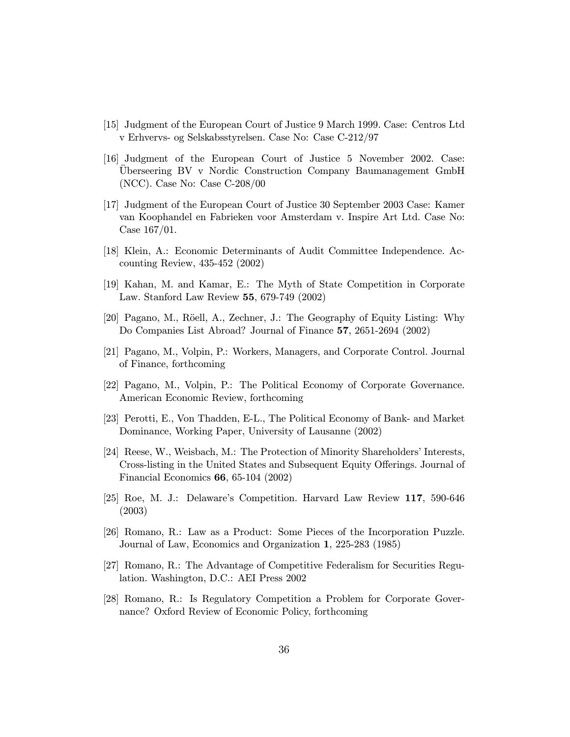- [15] Judgment of the European Court of Justice 9 March 1999. Case: Centros Ltd v Erhvervs- og Selskabsstyrelsen. Case No: Case C-212/97
- [16] Judgment of the European Court of Justice 5 November 2002. Case: Uberseering BV v Nordic Construction Company Baumanagement GmbH ¨ (NCC). Case No: Case C-208/00
- [17] Judgment of the European Court of Justice 30 September 2003 Case: Kamer van Koophandel en Fabrieken voor Amsterdam v. Inspire Art Ltd. Case No: Case 167/01.
- [18] Klein, A.: Economic Determinants of Audit Committee Independence. Accounting Review, 435-452 (2002)
- [19] Kahan, M. and Kamar, E.: The Myth of State Competition in Corporate Law. Stanford Law Review 55, 679-749 (2002)
- [20] Pagano, M., Röell, A., Zechner, J.: The Geography of Equity Listing: Why Do Companies List Abroad? Journal of Finance 57, 2651-2694 (2002)
- [21] Pagano, M., Volpin, P.: Workers, Managers, and Corporate Control. Journal of Finance, forthcoming
- [22] Pagano, M., Volpin, P.: The Political Economy of Corporate Governance. American Economic Review, forthcoming
- [23] Perotti, E., Von Thadden, E-L., The Political Economy of Bank- and Market Dominance, Working Paper, University of Lausanne (2002)
- [24] Reese, W., Weisbach, M.: The Protection of Minority Shareholders' Interests, Cross-listing in the United States and Subsequent Equity Offerings. Journal of Financial Economics 66, 65-104 (2002)
- [25] Roe, M. J.: Delaware's Competition. Harvard Law Review 117, 590-646 (2003)
- [26] Romano, R.: Law as a Product: Some Pieces of the Incorporation Puzzle. Journal of Law, Economics and Organization 1, 225-283 (1985)
- [27] Romano, R.: The Advantage of Competitive Federalism for Securities Regulation. Washington, D.C.: AEI Press 2002
- [28] Romano, R.: Is Regulatory Competition a Problem for Corporate Governance? Oxford Review of Economic Policy, forthcoming